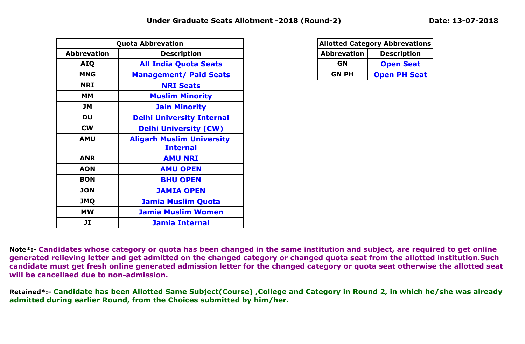|                    | <b>Quota Abbrevation</b>                            |
|--------------------|-----------------------------------------------------|
| <b>Abbrevation</b> | <b>Description</b>                                  |
| <b>AIQ</b>         | <b>All India Quota Seats</b>                        |
| <b>MNG</b>         | <b>Management/ Paid Seats</b>                       |
| <b>NRI</b>         | <b>NRI Seats</b>                                    |
| <b>MM</b>          | <b>Muslim Minority</b>                              |
| <b>JM</b>          | <b>Jain Minority</b>                                |
| DU                 | <b>Delhi University Internal</b>                    |
| <b>CW</b>          | <b>Delhi University (CW)</b>                        |
| <b>AMU</b>         | <b>Aligarh Muslim University</b><br><b>Internal</b> |
| <b>ANR</b>         | <b>AMU NRI</b>                                      |
| <b>AON</b>         | <b>AMU OPEN</b>                                     |
| <b>BON</b>         | <b>BHU OPEN</b>                                     |
| <b>JON</b>         | <b>JAMIA OPEN</b>                                   |
| <b>JMQ</b>         | <b>Jamia Muslim Quota</b>                           |
| <b>MW</b>          | <b>Jamia Muslim Women</b>                           |
| JI                 | <b>Jamia Internal</b>                               |

|                                          | <b>Allotted Category Abbrevations</b> |  |  |  |  |  |  |  |  |  |  |
|------------------------------------------|---------------------------------------|--|--|--|--|--|--|--|--|--|--|
| <b>Abbrevation</b><br><b>Description</b> |                                       |  |  |  |  |  |  |  |  |  |  |
| GN                                       | <b>Open Seat</b>                      |  |  |  |  |  |  |  |  |  |  |
| <b>GN PH</b>                             | <b>Open PH Seat</b>                   |  |  |  |  |  |  |  |  |  |  |

**Note\*:- Candidates whose category or quota has been changed in the same institution and subject, are required to get online generated relieving letter and get admitted on the changed category or changed quota seat from the allotted institution.Such candidate must get fresh online generated admission letter for the changed category or quota seat otherwise the allotted seat will be cancellaed due to non-admission.**

**Retained\*:- Candidate has been Allotted Same Subject(Course) ,College and Category in Round 2, in which he/she was already admitted during earlier Round, from the Choices submitted by him/her.**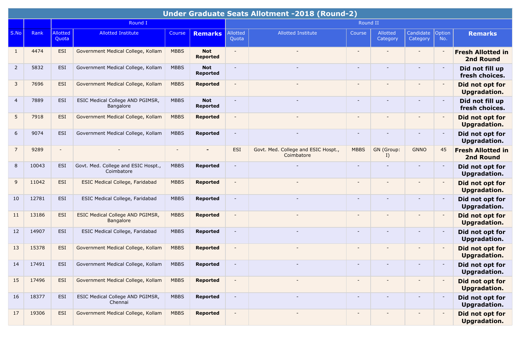|                |       |                          |                                                   |             |                               |                          | Under Graduate Seats Allotment -2018 (Round-2)    |                          |                          |                          |               |                                              |
|----------------|-------|--------------------------|---------------------------------------------------|-------------|-------------------------------|--------------------------|---------------------------------------------------|--------------------------|--------------------------|--------------------------|---------------|----------------------------------------------|
|                |       |                          | Round I                                           |             |                               |                          |                                                   | Round II                 |                          |                          |               |                                              |
| S.No           | Rank  | Allotted<br>Quota        | <b>Allotted Institute</b>                         | Course      | <b>Remarks</b>                | Allotted<br>Quota        | <b>Allotted Institute</b>                         | Course                   | Allotted<br>Category     | Candidate<br>Category    | Option<br>No. | <b>Remarks</b>                               |
| $\mathbf{1}$   | 4474  | <b>ESI</b>               | Government Medical College, Kollam                | <b>MBBS</b> | <b>Not</b><br><b>Reported</b> |                          |                                                   |                          | $\overline{\phantom{a}}$ |                          |               | <b>Fresh Allotted in</b><br><b>2nd Round</b> |
| $\overline{2}$ | 5832  | <b>ESI</b>               | Government Medical College, Kollam                | <b>MBBS</b> | <b>Not</b><br><b>Reported</b> | $\blacksquare$           |                                                   | $\overline{\phantom{a}}$ |                          | $\overline{\phantom{0}}$ |               | Did not fill up<br>fresh choices.            |
| 3              | 7696  | <b>ESI</b>               | Government Medical College, Kollam                | <b>MBBS</b> | <b>Reported</b>               |                          |                                                   |                          |                          |                          |               | Did not opt for<br><b>Upgradation.</b>       |
| 4              | 7889  | ESI                      | ESIC Medical College AND PGIMSR,<br>Bangalore     | <b>MBBS</b> | <b>Not</b><br><b>Reported</b> | $\blacksquare$           |                                                   |                          |                          | $\blacksquare$           |               | Did not fill up<br>fresh choices.            |
| 5              | 7918  | <b>ESI</b>               | Government Medical College, Kollam                | <b>MBBS</b> | <b>Reported</b>               | $\overline{\phantom{a}}$ |                                                   |                          |                          |                          |               | Did not opt for<br>Upgradation.              |
| 6              | 9074  | <b>ESI</b>               | Government Medical College, Kollam                | <b>MBBS</b> | Reported                      | $\overline{\phantom{a}}$ |                                                   |                          |                          |                          |               | Did not opt for<br>Upgradation.              |
| $\overline{7}$ | 9289  | $\overline{\phantom{a}}$ |                                                   |             |                               | ESI                      | Govt. Med. College and ESIC Hospt.,<br>Coimbatore | <b>MBBS</b>              | GN (Group:<br>I)         | <b>GNNO</b>              | 45            | <b>Fresh Allotted in</b><br><b>2nd Round</b> |
| 8              | 10043 | <b>ESI</b>               | Govt. Med. College and ESIC Hospt.,<br>Coimbatore | <b>MBBS</b> | <b>Reported</b>               |                          |                                                   |                          |                          |                          |               | Did not opt for<br>Upgradation.              |
| 9              | 11042 | <b>ESI</b>               | <b>ESIC Medical College, Faridabad</b>            | <b>MBBS</b> | <b>Reported</b>               | $\overline{\phantom{a}}$ |                                                   |                          |                          | $\overline{\phantom{a}}$ |               | Did not opt for<br><b>Upgradation.</b>       |
| 10             | 12781 | <b>ESI</b>               | ESIC Medical College, Faridabad                   | <b>MBBS</b> | <b>Reported</b>               |                          |                                                   |                          |                          |                          |               | Did not opt for<br>Upgradation.              |
| 11             | 13186 | <b>ESI</b>               | ESIC Medical College AND PGIMSR,<br>Bangalore     | <b>MBBS</b> | <b>Reported</b>               |                          |                                                   |                          |                          |                          |               | Did not opt for<br><b>Upgradation.</b>       |
| 12             | 14907 | <b>ESI</b>               | ESIC Medical College, Faridabad                   | <b>MBBS</b> | <b>Reported</b>               | $\blacksquare$           |                                                   | $\overline{\phantom{a}}$ |                          | $\overline{\phantom{a}}$ |               | Did not opt for<br>Upgradation.              |
| 13             | 15378 | <b>ESI</b>               | Government Medical College, Kollam                | <b>MBBS</b> | <b>Reported</b>               | $\overline{\phantom{a}}$ |                                                   |                          |                          | $\overline{\phantom{a}}$ |               | Did not opt for<br><b>Upgradation.</b>       |
| 14             | 17491 | <b>ESI</b>               | Government Medical College, Kollam                | <b>MBBS</b> | <b>Reported</b>               |                          |                                                   |                          |                          |                          |               | Did not opt for<br><b>Upgradation.</b>       |
| 15             | 17496 | ESI                      | Government Medical College, Kollam                | <b>MBBS</b> | <b>Reported</b>               | $\overline{\phantom{a}}$ |                                                   | $\overline{\phantom{a}}$ |                          |                          |               | Did not opt for<br><b>Upgradation.</b>       |
| 16             | 18377 | ESI                      | ESIC Medical College AND PGIMSR,<br>Chennai       | <b>MBBS</b> | <b>Reported</b>               | $\blacksquare$           |                                                   |                          |                          | $\overline{\phantom{a}}$ |               | Did not opt for<br>Upgradation.              |
| 17             | 19306 | <b>ESI</b>               | Government Medical College, Kollam                | <b>MBBS</b> | <b>Reported</b>               | $\blacksquare$           |                                                   | $\overline{\phantom{a}}$ |                          |                          |               | Did not opt for<br><b>Upgradation.</b>       |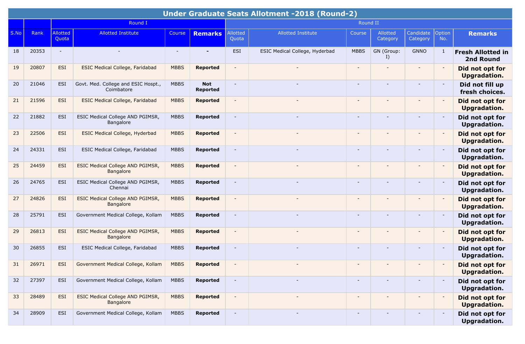|      |       |                          |                                                      |             |                               |                          | <b>Under Graduate Seats Allotment -2018 (Round-2)</b> |                          |                      |                          |                          |                                        |
|------|-------|--------------------------|------------------------------------------------------|-------------|-------------------------------|--------------------------|-------------------------------------------------------|--------------------------|----------------------|--------------------------|--------------------------|----------------------------------------|
|      |       |                          | Round I                                              |             |                               |                          |                                                       | Round II                 |                      |                          |                          |                                        |
| S.No | Rank  | <b>Allotted</b><br>Quota | <b>Allotted Institute</b>                            | Course      | <b>Remarks</b>                | Allotted<br>Quota        | <b>Allotted Institute</b>                             | Course                   | Allotted<br>Category | Candidate<br>Category    | Option<br>No.            | <b>Remarks</b>                         |
| 18   | 20353 | $\sim$                   |                                                      |             |                               | ESI                      | ESIC Medical College, Hyderbad                        | <b>MBBS</b>              | GN (Group:<br>I)     | <b>GNNO</b>              | -1                       | <b>Fresh Allotted in</b><br>2nd Round  |
| 19   | 20807 | <b>ESI</b>               | <b>ESIC Medical College, Faridabad</b>               | <b>MBBS</b> | <b>Reported</b>               | $\overline{\phantom{a}}$ |                                                       | $\overline{\phantom{a}}$ |                      | -                        |                          | Did not opt for<br><b>Upgradation.</b> |
| 20   | 21046 | <b>ESI</b>               | Govt. Med. College and ESIC Hospt.,<br>Coimbatore    | <b>MBBS</b> | <b>Not</b><br><b>Reported</b> | $\overline{\phantom{a}}$ |                                                       |                          |                      |                          |                          | Did not fill up<br>fresh choices.      |
| 21   | 21596 | <b>ESI</b>               | <b>ESIC Medical College, Faridabad</b>               | <b>MBBS</b> | <b>Reported</b>               | $\blacksquare$           |                                                       |                          |                      | $\overline{\phantom{a}}$ |                          | Did not opt for<br><b>Upgradation.</b> |
| 22   | 21882 | <b>ESI</b>               | ESIC Medical College AND PGIMSR,<br>Bangalore        | <b>MBBS</b> | <b>Reported</b>               | $\overline{\phantom{a}}$ |                                                       |                          |                      |                          |                          | Did not opt for<br>Upgradation.        |
| 23   | 22506 | <b>ESI</b>               | ESIC Medical College, Hyderbad                       | <b>MBBS</b> | <b>Reported</b>               | $\overline{\phantom{a}}$ |                                                       |                          | $\overline{a}$       |                          |                          | Did not opt for<br>Upgradation.        |
| 24   | 24331 | ESI                      | ESIC Medical College, Faridabad                      | <b>MBBS</b> | <b>Reported</b>               | $\blacksquare$           |                                                       |                          |                      |                          |                          | Did not opt for<br><b>Upgradation.</b> |
| 25   | 24459 | <b>ESI</b>               | <b>ESIC Medical College AND PGIMSR,</b><br>Bangalore | <b>MBBS</b> | <b>Reported</b>               | $\blacksquare$           |                                                       |                          |                      |                          |                          | Did not opt for<br>Upgradation.        |
| 26   | 24765 | <b>ESI</b>               | ESIC Medical College AND PGIMSR,<br>Chennai          | <b>MBBS</b> | <b>Reported</b>               | $\blacksquare$           |                                                       |                          |                      | $\overline{\phantom{a}}$ |                          | Did not opt for<br>Upgradation.        |
| 27   | 24826 | <b>ESI</b>               | ESIC Medical College AND PGIMSR,<br>Bangalore        | <b>MBBS</b> | <b>Reported</b>               | $\blacksquare$           |                                                       |                          |                      |                          |                          | Did not opt for<br><b>Upgradation.</b> |
| 28   | 25791 | <b>ESI</b>               | Government Medical College, Kollam                   | <b>MBBS</b> | <b>Reported</b>               |                          |                                                       |                          |                      | $\overline{\phantom{0}}$ |                          | Did not opt for<br>Upgradation.        |
| 29   | 26813 | <b>ESI</b>               | ESIC Medical College AND PGIMSR,<br>Bangalore        | <b>MBBS</b> | <b>Reported</b>               | $\overline{a}$           |                                                       |                          |                      | $\overline{\phantom{a}}$ |                          | Did not opt for<br><b>Upgradation.</b> |
| 30   | 26855 | ESI                      | ESIC Medical College, Faridabad                      | <b>MBBS</b> | <b>Reported</b>               | $\overline{\phantom{a}}$ |                                                       |                          |                      |                          |                          | Did not opt for<br>Upgradation.        |
| 31   | 26971 | <b>ESI</b>               | Government Medical College, Kollam                   | <b>MBBS</b> | <b>Reported</b>               |                          |                                                       |                          |                      |                          |                          | Did not opt for<br><b>Upgradation.</b> |
| 32   | 27397 | ESI                      | Government Medical College, Kollam                   | <b>MBBS</b> | Reported                      | $\blacksquare$           |                                                       | $\overline{\phantom{a}}$ | $\qquad \qquad -$    | $\overline{\phantom{a}}$ |                          | Did not opt for<br>Upgradation.        |
| 33   | 28489 | <b>ESI</b>               | ESIC Medical College AND PGIMSR,<br>Bangalore        | <b>MBBS</b> | <b>Reported</b>               | $\overline{\phantom{a}}$ |                                                       |                          |                      | $\overline{\phantom{a}}$ | $\overline{\phantom{a}}$ | Did not opt for<br>Upgradation.        |
| 34   | 28909 | ESI                      | Government Medical College, Kollam                   | <b>MBBS</b> | Reported                      | $\sim$                   |                                                       | $\overline{\phantom{a}}$ | $\qquad \qquad -$    |                          |                          | Did not opt for<br>Upgradation.        |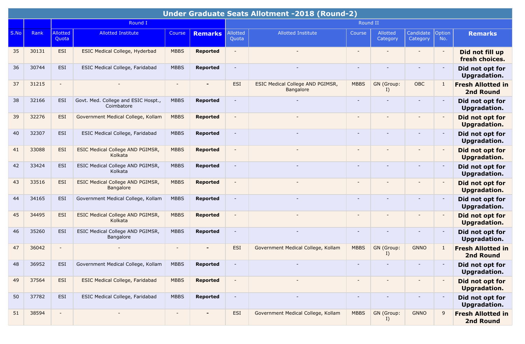|      |       |                          |                                                   |                |                 |                          | <b>Under Graduate Seats Allotment -2018 (Round-2)</b> |                          |                      |                          |               |                                              |
|------|-------|--------------------------|---------------------------------------------------|----------------|-----------------|--------------------------|-------------------------------------------------------|--------------------------|----------------------|--------------------------|---------------|----------------------------------------------|
|      |       |                          | Round I                                           |                |                 |                          |                                                       | Round II                 |                      |                          |               |                                              |
| S.No | Rank  | <b>Allotted</b><br>Quota | <b>Allotted Institute</b>                         | Course         | <b>Remarks</b>  | Allotted<br>Quota        | <b>Allotted Institute</b>                             | Course                   | Allotted<br>Category | Candidate<br>Category    | Option<br>No. | <b>Remarks</b>                               |
| 35   | 30131 | <b>ESI</b>               | <b>ESIC Medical College, Hyderbad</b>             | <b>MBBS</b>    | <b>Reported</b> | $\sim$                   |                                                       |                          | $\sim$               | $\overline{\phantom{a}}$ |               | Did not fill up<br>fresh choices.            |
| 36   | 30744 | <b>ESI</b>               | ESIC Medical College, Faridabad                   | <b>MBBS</b>    | <b>Reported</b> | $\sim$                   |                                                       |                          |                      |                          |               | Did not opt for<br>Upgradation.              |
| 37   | 31215 | $\overline{\phantom{a}}$ |                                                   |                |                 | ESI                      | ESIC Medical College AND PGIMSR,<br>Bangalore         | <b>MBBS</b>              | GN (Group:<br>I)     | <b>OBC</b>               |               | <b>Fresh Allotted in</b><br><b>2nd Round</b> |
| 38   | 32166 | ESI                      | Govt. Med. College and ESIC Hospt.,<br>Coimbatore | <b>MBBS</b>    | <b>Reported</b> |                          |                                                       | $\overline{\phantom{a}}$ |                      | $\overline{\phantom{a}}$ |               | Did not opt for<br>Upgradation.              |
| 39   | 32276 | <b>ESI</b>               | Government Medical College, Kollam                | <b>MBBS</b>    | <b>Reported</b> | $\blacksquare$           |                                                       |                          |                      |                          |               | Did not opt for<br><b>Upgradation.</b>       |
| 40   | 32307 | ESI                      | ESIC Medical College, Faridabad                   | <b>MBBS</b>    | <b>Reported</b> | $\overline{\phantom{a}}$ |                                                       |                          |                      | $\overline{\phantom{a}}$ |               | Did not opt for<br>Upgradation.              |
| 41   | 33088 | <b>ESI</b>               | ESIC Medical College AND PGIMSR,<br>Kolkata       | <b>MBBS</b>    | <b>Reported</b> | $\blacksquare$           |                                                       |                          |                      |                          |               | Did not opt for<br>Upgradation.              |
| 42   | 33424 | ESI                      | ESIC Medical College AND PGIMSR,<br>Kolkata       | <b>MBBS</b>    | <b>Reported</b> | $\overline{\phantom{a}}$ |                                                       |                          |                      |                          |               | Did not opt for<br>Upgradation.              |
| 43   | 33516 | ESI                      | ESIC Medical College AND PGIMSR,<br>Bangalore     | <b>MBBS</b>    | <b>Reported</b> | $\overline{\phantom{a}}$ |                                                       |                          |                      | $\overline{\phantom{a}}$ |               | Did not opt for<br><b>Upgradation.</b>       |
| 44   | 34165 | <b>ESI</b>               | Government Medical College, Kollam                | <b>MBBS</b>    | <b>Reported</b> | $\blacksquare$           |                                                       | $\overline{a}$           |                      | $\overline{\phantom{a}}$ |               | Did not opt for<br>Upgradation.              |
| 45   | 34495 | <b>ESI</b>               | ESIC Medical College AND PGIMSR,<br>Kolkata       | <b>MBBS</b>    | <b>Reported</b> |                          |                                                       |                          |                      |                          |               | Did not opt for<br><b>Upgradation.</b>       |
| 46   | 35260 | ESI                      | ESIC Medical College AND PGIMSR,<br>Bangalore     | <b>MBBS</b>    | <b>Reported</b> | $\blacksquare$           |                                                       | $\overline{\phantom{a}}$ |                      |                          |               | Did not opt for<br>Upgradation.              |
| 47   | 36042 | $\overline{\phantom{a}}$ |                                                   |                |                 | ESI                      | Government Medical College, Kollam                    | <b>MBBS</b>              | GN (Group:<br>I)     | <b>GNNO</b>              |               | <b>Fresh Allotted in</b><br><b>2nd Round</b> |
| 48   | 36952 | <b>ESI</b>               | Government Medical College, Kollam                | <b>MBBS</b>    | <b>Reported</b> |                          |                                                       |                          |                      |                          |               | Did not opt for<br><b>Upgradation.</b>       |
| 49   | 37564 | ESI                      | <b>ESIC Medical College, Faridabad</b>            | <b>MBBS</b>    | <b>Reported</b> |                          |                                                       | $\overline{\phantom{a}}$ |                      |                          |               | Did not opt for<br><b>Upgradation.</b>       |
| 50   | 37782 | ESI                      | ESIC Medical College, Faridabad                   | <b>MBBS</b>    | <b>Reported</b> | $\overline{\phantom{a}}$ |                                                       | $\overline{\phantom{a}}$ |                      | $\overline{\phantom{a}}$ |               | Did not opt for<br>Upgradation.              |
| 51   | 38594 | $\sim$                   |                                                   | $\blacksquare$ | $\blacksquare$  | ESI                      | Government Medical College, Kollam                    | <b>MBBS</b>              | GN (Group:<br>I)     | <b>GNNO</b>              | 9             | <b>Fresh Allotted in</b><br><b>2nd Round</b> |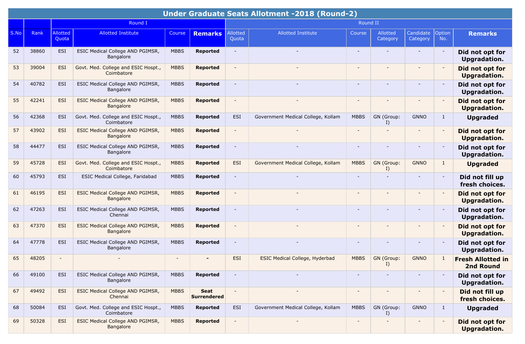|      |       |                   |                                                      |             |                            |                          | Under Graduate Seats Allotment -2018 (Round-2) |                          |                      |                          |               |                                        |
|------|-------|-------------------|------------------------------------------------------|-------------|----------------------------|--------------------------|------------------------------------------------|--------------------------|----------------------|--------------------------|---------------|----------------------------------------|
|      |       |                   | Round I                                              |             |                            |                          |                                                | Round II                 |                      |                          |               |                                        |
| S.No | Rank  | Allotted<br>Quota | <b>Allotted Institute</b>                            | Course      | <b>Remarks</b>             | Allotted<br>Quota        | <b>Allotted Institute</b>                      | Course                   | Allotted<br>Category | Candidate<br>Category    | Option<br>No. | <b>Remarks</b>                         |
| 52   | 38860 | <b>ESI</b>        | ESIC Medical College AND PGIMSR,<br>Bangalore        | <b>MBBS</b> | <b>Reported</b>            | $\blacksquare$           |                                                |                          |                      |                          |               | Did not opt for<br>Upgradation.        |
| 53   | 39004 | <b>ESI</b>        | Govt. Med. College and ESIC Hospt.,<br>Coimbatore    | <b>MBBS</b> | <b>Reported</b>            | $\overline{\phantom{a}}$ |                                                |                          |                      |                          |               | Did not opt for<br>Upgradation.        |
| 54   | 40782 | <b>ESI</b>        | ESIC Medical College AND PGIMSR,<br>Bangalore        | <b>MBBS</b> | <b>Reported</b>            |                          |                                                |                          |                      |                          |               | Did not opt for<br>Upgradation.        |
| 55   | 42241 | <b>ESI</b>        | ESIC Medical College AND PGIMSR,<br><b>Bangalore</b> | <b>MBBS</b> | <b>Reported</b>            | $\sim$                   |                                                | $\overline{\phantom{a}}$ |                      | ۰                        |               | Did not opt for<br><b>Upgradation.</b> |
| 56   | 42368 | <b>ESI</b>        | Govt. Med. College and ESIC Hospt.,<br>Coimbatore    | <b>MBBS</b> | <b>Reported</b>            | ESI                      | Government Medical College, Kollam             | <b>MBBS</b>              | GN (Group:<br>I)     | <b>GNNO</b>              | $\mathbf{1}$  | <b>Upgraded</b>                        |
| 57   | 43902 | <b>ESI</b>        | ESIC Medical College AND PGIMSR,<br>Bangalore        | <b>MBBS</b> | <b>Reported</b>            | $\blacksquare$           |                                                |                          |                      |                          |               | Did not opt for<br>Upgradation.        |
| 58   | 44477 | <b>ESI</b>        | ESIC Medical College AND PGIMSR,<br>Bangalore        | <b>MBBS</b> | <b>Reported</b>            | $\overline{\phantom{a}}$ |                                                |                          |                      |                          |               | Did not opt for<br>Upgradation.        |
| 59   | 45728 | <b>ESI</b>        | Govt. Med. College and ESIC Hospt.,<br>Coimbatore    | <b>MBBS</b> | <b>Reported</b>            | <b>ESI</b>               | Government Medical College, Kollam             | <b>MBBS</b>              | GN (Group:<br>I)     | <b>GNNO</b>              | $\mathbf{1}$  | <b>Upgraded</b>                        |
| 60   | 45793 | <b>ESI</b>        | ESIC Medical College, Faridabad                      | <b>MBBS</b> | <b>Reported</b>            | $\sim$                   |                                                | $\overline{\phantom{0}}$ |                      |                          |               | Did not fill up<br>fresh choices.      |
| 61   | 46195 | <b>ESI</b>        | ESIC Medical College AND PGIMSR,<br>Bangalore        | <b>MBBS</b> | <b>Reported</b>            |                          |                                                |                          |                      |                          |               | Did not opt for<br><b>Upgradation.</b> |
| 62   | 47263 | <b>ESI</b>        | ESIC Medical College AND PGIMSR,<br>Chennai          | <b>MBBS</b> | <b>Reported</b>            | $\overline{\phantom{a}}$ |                                                |                          |                      |                          |               | Did not opt for<br>Upgradation.        |
| 63   | 47370 | <b>ESI</b>        | ESIC Medical College AND PGIMSR,<br><b>Bangalore</b> | <b>MBBS</b> | <b>Reported</b>            | $\blacksquare$           |                                                |                          |                      |                          |               | Did not opt for<br><b>Upgradation.</b> |
| 64   | 47778 | <b>ESI</b>        | ESIC Medical College AND PGIMSR,<br>Bangalore        | <b>MBBS</b> | <b>Reported</b>            |                          |                                                |                          |                      |                          |               | Did not opt for<br>Upgradation.        |
| 65   | 48205 |                   |                                                      |             |                            | <b>ESI</b>               | <b>ESIC Medical College, Hyderbad</b>          | <b>MBBS</b>              | GN (Group:<br>I      | <b>GNNO</b>              | $\lceil$      | <b>Fresh Allotted in</b><br>2nd Round  |
| 66   | 49100 | ESI               | ESIC Medical College AND PGIMSR,<br>Bangalore        | <b>MBBS</b> | <b>Reported</b>            |                          |                                                |                          |                      |                          |               | Did not opt for<br>Upgradation.        |
| 67   | 49492 | <b>ESI</b>        | ESIC Medical College AND PGIMSR,<br>Chennai          | <b>MBBS</b> | Seat<br><b>Surrendered</b> | $\overline{\phantom{a}}$ |                                                |                          |                      | $\overline{\phantom{a}}$ |               | Did not fill up<br>fresh choices.      |
| 68   | 50084 | ESI               | Govt. Med. College and ESIC Hospt.,<br>Coimbatore    | <b>MBBS</b> | Reported                   | ESI                      | Government Medical College, Kollam             | <b>MBBS</b>              | GN (Group:<br>I)     | <b>GNNO</b>              | 1             | <b>Upgraded</b>                        |
| 69   | 50328 | <b>ESI</b>        | <b>ESIC Medical College AND PGIMSR,</b><br>Bangalore | <b>MBBS</b> | <b>Reported</b>            | $\blacksquare$           |                                                | $\overline{\phantom{a}}$ | $\blacksquare$       | $\qquad \qquad -$        |               | Did not opt for<br>Upgradation.        |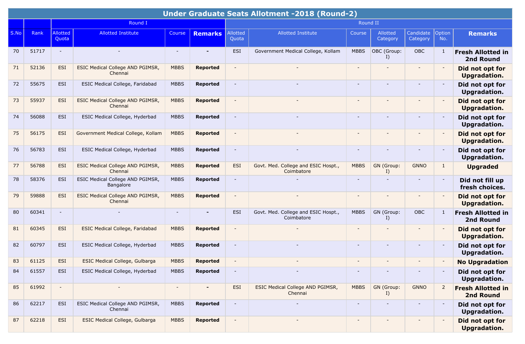|      |       |                          |                                                    |             |                 |                          | <b>Under Graduate Seats Allotment -2018 (Round-2)</b> |                          |                      |                       |                          |                                              |
|------|-------|--------------------------|----------------------------------------------------|-------------|-----------------|--------------------------|-------------------------------------------------------|--------------------------|----------------------|-----------------------|--------------------------|----------------------------------------------|
|      |       |                          | Round I                                            |             |                 |                          |                                                       | Round II                 |                      |                       |                          |                                              |
| S.No | Rank  | <b>Allotted</b><br>Quota | <b>Allotted Institute</b>                          | Course      | <b>Remarks</b>  | Allotted<br>Quota        | <b>Allotted Institute</b>                             | Course                   | Allotted<br>Category | Candidate<br>Category | Option<br>No.            | <b>Remarks</b>                               |
| 70   | 51717 | $\sim$                   |                                                    |             | $\blacksquare$  | <b>ESI</b>               | Government Medical College, Kollam                    | <b>MBBS</b>              | OBC (Group:<br>I)    | OBC                   | $\mathbf{1}$             | <b>Fresh Allotted in</b><br>2nd Round        |
| 71   | 52136 | ESI                      | ESIC Medical College AND PGIMSR,<br>Chennai        | <b>MBBS</b> | <b>Reported</b> | $\overline{\phantom{a}}$ |                                                       | $\overline{\phantom{a}}$ |                      |                       |                          | Did not opt for<br><b>Upgradation.</b>       |
| 72   | 55675 | <b>ESI</b>               | ESIC Medical College, Faridabad                    | <b>MBBS</b> | <b>Reported</b> | $\overline{\phantom{a}}$ |                                                       |                          |                      |                       |                          | Did not opt for<br><b>Upgradation.</b>       |
| 73   | 55937 | ESI                      | ESIC Medical College AND PGIMSR,<br>Chennai        | <b>MBBS</b> | <b>Reported</b> | $\overline{\phantom{a}}$ |                                                       | $\overline{\phantom{a}}$ |                      |                       |                          | Did not opt for<br><b>Upgradation.</b>       |
| 74   | 56088 | <b>ESI</b>               | ESIC Medical College, Hyderbad                     | <b>MBBS</b> | <b>Reported</b> | $\sim$                   |                                                       | $\overline{\phantom{a}}$ |                      |                       |                          | Did not opt for<br><b>Upgradation.</b>       |
| 75   | 56175 | <b>ESI</b>               | Government Medical College, Kollam                 | <b>MBBS</b> | <b>Reported</b> | $\overline{\phantom{a}}$ |                                                       | $\overline{\phantom{a}}$ |                      |                       |                          | Did not opt for<br><b>Upgradation.</b>       |
| 76   | 56783 | <b>ESI</b>               | ESIC Medical College, Hyderbad                     | <b>MBBS</b> | <b>Reported</b> | $\blacksquare$           |                                                       | $\overline{\phantom{a}}$ |                      |                       |                          | Did not opt for<br>Upgradation.              |
| 77   | 56788 | ESI                      | <b>ESIC Medical College AND PGIMSR,</b><br>Chennai | <b>MBBS</b> | <b>Reported</b> | <b>ESI</b>               | Govt. Med. College and ESIC Hospt.,<br>Coimbatore     | <b>MBBS</b>              | GN (Group:<br>I)     | <b>GNNO</b>           | $\mathbf{1}$             | <b>Upgraded</b>                              |
| 78   | 58376 | <b>ESI</b>               | ESIC Medical College AND PGIMSR,<br>Bangalore      | <b>MBBS</b> | <b>Reported</b> | $\sim$                   |                                                       | $\blacksquare$           |                      |                       |                          | Did not fill up<br>fresh choices.            |
| 79   | 59888 | ESI                      | <b>ESIC Medical College AND PGIMSR,</b><br>Chennai | <b>MBBS</b> | <b>Reported</b> | $\overline{\phantom{a}}$ | $\overline{\phantom{a}}$                              | $\overline{\phantom{a}}$ |                      | $\sim$                |                          | Did not opt for<br><b>Upgradation.</b>       |
| 80   | 60341 | $\sim$                   |                                                    | $\sim$      |                 | <b>ESI</b>               | Govt. Med. College and ESIC Hospt.,<br>Coimbatore     | <b>MBBS</b>              | GN (Group:<br>I)     | OBC                   | 1                        | <b>Fresh Allotted in</b><br>2nd Round        |
| 81   | 60345 | <b>ESI</b>               | <b>ESIC Medical College, Faridabad</b>             | <b>MBBS</b> | <b>Reported</b> | $\blacksquare$           |                                                       |                          |                      |                       |                          | Did not opt for<br><b>Upgradation.</b>       |
| 82   | 60797 | <b>ESI</b>               | ESIC Medical College, Hyderbad                     | <b>MBBS</b> | <b>Reported</b> | $\overline{\phantom{a}}$ |                                                       | $\overline{\phantom{a}}$ |                      |                       |                          | Did not opt for<br><b>Upgradation.</b>       |
| 83   | 61125 | <b>ESI</b>               | ESIC Medical College, Gulbarga                     | <b>MBBS</b> | <b>Reported</b> | $\overline{\phantom{a}}$ |                                                       | $\overline{\phantom{a}}$ |                      |                       |                          | <b>No Upgradation</b>                        |
| 84   | 61557 | ESI                      | ESIC Medical College, Hyderbad                     | <b>MBBS</b> | <b>Reported</b> | $\overline{\phantom{a}}$ |                                                       |                          |                      |                       |                          | Did not opt for<br>Upgradation.              |
| 85   | 61992 | $\overline{\phantom{a}}$ |                                                    | $\sim$      |                 | <b>ESI</b>               | ESIC Medical College AND PGIMSR,<br>Chennai           | <b>MBBS</b>              | GN (Group:<br>I)     | <b>GNNO</b>           | $\overline{2}$           | <b>Fresh Allotted in</b><br><b>2nd Round</b> |
| 86   | 62217 | ESI                      | ESIC Medical College AND PGIMSR,<br>Chennai        | <b>MBBS</b> | <b>Reported</b> | $\overline{\phantom{a}}$ |                                                       | $\overline{\phantom{a}}$ |                      |                       | $\overline{\phantom{a}}$ | Did not opt for<br>Upgradation.              |
| 87   | 62218 | <b>ESI</b>               | ESIC Medical College, Gulbarga                     | <b>MBBS</b> | <b>Reported</b> | $\overline{\phantom{a}}$ | $\overline{\phantom{a}}$                              | $\overline{\phantom{a}}$ |                      |                       |                          | Did not opt for<br><b>Upgradation.</b>       |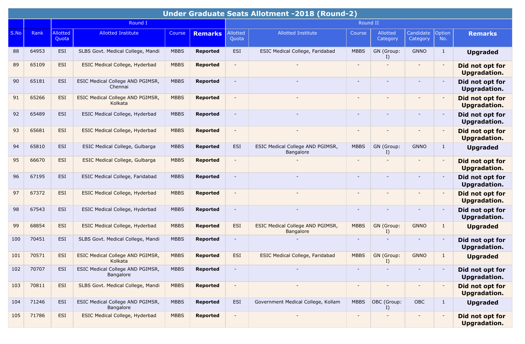|      |       |                   |                                               |             |                 |                          | <b>Under Graduate Seats Allotment -2018 (Round-2)</b> |                          |                      |                          |               |                                        |
|------|-------|-------------------|-----------------------------------------------|-------------|-----------------|--------------------------|-------------------------------------------------------|--------------------------|----------------------|--------------------------|---------------|----------------------------------------|
|      |       |                   | Round I                                       |             |                 |                          |                                                       | Round II                 |                      |                          |               |                                        |
| S.No | Rank  | Allotted<br>Quota | <b>Allotted Institute</b>                     | Course      | <b>Remarks</b>  | Allotted<br>Quota        | <b>Allotted Institute</b>                             | Course                   | Allotted<br>Category | Candidate<br>Category    | Option<br>No. | <b>Remarks</b>                         |
| 88   | 64953 | <b>ESI</b>        | SLBS Govt. Medical College, Mandi             | <b>MBBS</b> | <b>Reported</b> | <b>ESI</b>               | ESIC Medical College, Faridabad                       | <b>MBBS</b>              | GN (Group:<br>I)     | <b>GNNO</b>              | $\mathbf{1}$  | <b>Upgraded</b>                        |
| 89   | 65109 | <b>ESI</b>        | ESIC Medical College, Hyderbad                | <b>MBBS</b> | <b>Reported</b> |                          |                                                       |                          |                      |                          |               | Did not opt for<br><b>Upgradation.</b> |
| 90   | 65181 | <b>ESI</b>        | ESIC Medical College AND PGIMSR,<br>Chennai   | <b>MBBS</b> | <b>Reported</b> | $\overline{\phantom{a}}$ |                                                       |                          |                      | $\overline{\phantom{a}}$ |               | Did not opt for<br>Upgradation.        |
| 91   | 65266 | <b>ESI</b>        | ESIC Medical College AND PGIMSR,<br>Kolkata   | <b>MBBS</b> | <b>Reported</b> |                          |                                                       |                          |                      |                          |               | Did not opt for<br><b>Upgradation.</b> |
| 92   | 65489 | <b>ESI</b>        | ESIC Medical College, Hyderbad                | <b>MBBS</b> | <b>Reported</b> | $\overline{\phantom{a}}$ |                                                       | $\overline{\phantom{a}}$ |                      | $\overline{\phantom{a}}$ |               | Did not opt for<br><b>Upgradation.</b> |
| 93   | 65681 | <b>ESI</b>        | ESIC Medical College, Hyderbad                | <b>MBBS</b> | <b>Reported</b> | $\overline{\phantom{a}}$ |                                                       |                          |                      |                          |               | Did not opt for<br><b>Upgradation.</b> |
| 94   | 65810 | <b>ESI</b>        | ESIC Medical College, Gulbarga                | <b>MBBS</b> | <b>Reported</b> | <b>ESI</b>               | ESIC Medical College AND PGIMSR,<br>Bangalore         | <b>MBBS</b>              | GN (Group:<br>I)     | <b>GNNO</b>              | $\mathbf{1}$  | <b>Upgraded</b>                        |
| 95   | 66670 | <b>ESI</b>        | <b>ESIC Medical College, Gulbarga</b>         | <b>MBBS</b> | <b>Reported</b> |                          |                                                       |                          |                      |                          |               | Did not opt for<br><b>Upgradation.</b> |
| 96   | 67195 | <b>ESI</b>        | ESIC Medical College, Faridabad               | <b>MBBS</b> | <b>Reported</b> |                          |                                                       | $\overline{\phantom{a}}$ |                      | $\blacksquare$           |               | Did not opt for<br>Upgradation.        |
| 97   | 67372 | ESI               | ESIC Medical College, Hyderbad                | <b>MBBS</b> | <b>Reported</b> | $\overline{\phantom{a}}$ |                                                       |                          |                      |                          |               | Did not opt for<br><b>Upgradation.</b> |
| 98   | 67543 | <b>ESI</b>        | ESIC Medical College, Hyderbad                | <b>MBBS</b> | <b>Reported</b> | $\overline{\phantom{a}}$ |                                                       |                          |                      |                          |               | Did not opt for<br>Upgradation.        |
| 99   | 68854 | <b>ESI</b>        | ESIC Medical College, Hyderbad                | <b>MBBS</b> | <b>Reported</b> | <b>ESI</b>               | ESIC Medical College AND PGIMSR,<br><b>Bangalore</b>  | <b>MBBS</b>              | GN (Group:<br>I)     | <b>GNNO</b>              | $\mathbf{1}$  | <b>Upgraded</b>                        |
| 100  | 70451 | <b>ESI</b>        | SLBS Govt. Medical College, Mandi             | <b>MBBS</b> | <b>Reported</b> | $\overline{\phantom{a}}$ |                                                       | $\overline{\phantom{a}}$ |                      |                          |               | Did not opt for<br>Upgradation.        |
| 101  | 70571 | ESI               | ESIC Medical College AND PGIMSR,<br>Kolkata   | <b>MBBS</b> | <b>Reported</b> | <b>ESI</b>               | <b>ESIC Medical College, Faridabad</b>                | <b>MBBS</b>              | GN (Group:<br>I)     | <b>GNNO</b>              | $\mathbf{1}$  | <b>Upgraded</b>                        |
| 102  | 70707 | <b>ESI</b>        | ESIC Medical College AND PGIMSR,<br>Bangalore | <b>MBBS</b> | <b>Reported</b> |                          |                                                       |                          |                      | $\overline{\phantom{a}}$ |               | Did not opt for<br>Upgradation.        |
| 103  | 70811 | ESI               | SLBS Govt. Medical College, Mandi             | <b>MBBS</b> | <b>Reported</b> | $\blacksquare$           |                                                       | $\overline{\phantom{a}}$ | $\qquad \qquad -$    | $\overline{\phantom{a}}$ |               | Did not opt for<br><b>Upgradation.</b> |
| 104  | 71246 | ESI               | ESIC Medical College AND PGIMSR,<br>Bangalore | <b>MBBS</b> | Reported        | ESI                      | Government Medical College, Kollam                    | <b>MBBS</b>              | OBC (Group:<br>I)    | OBC                      | $\mathbf{1}$  | <b>Upgraded</b>                        |
| 105  | 71786 | ESI               | ESIC Medical College, Hyderbad                | <b>MBBS</b> | <b>Reported</b> |                          |                                                       |                          |                      |                          |               | Did not opt for<br><b>Upgradation.</b> |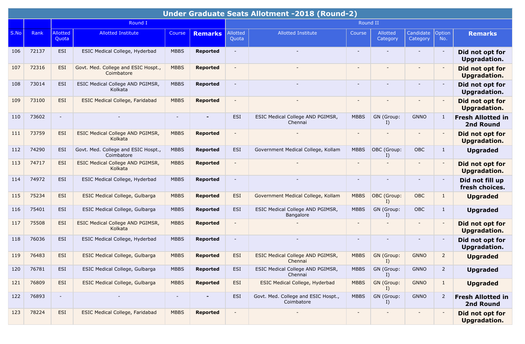|      |       |                          |                                                   |             |                 |                          | <b>Under Graduate Seats Allotment -2018 (Round-2)</b> |                          |                      |                       |                |                                        |
|------|-------|--------------------------|---------------------------------------------------|-------------|-----------------|--------------------------|-------------------------------------------------------|--------------------------|----------------------|-----------------------|----------------|----------------------------------------|
|      |       |                          | Round I                                           |             |                 |                          |                                                       | Round II                 |                      |                       |                |                                        |
| S.No | Rank  | Allotted<br>Quota        | <b>Allotted Institute</b>                         | Course      | <b>Remarks</b>  | Allotted<br>Quota        | <b>Allotted Institute</b>                             | Course                   | Allotted<br>Category | Candidate<br>Category | Option<br>No.  | <b>Remarks</b>                         |
| 106  | 72137 | <b>ESI</b>               | ESIC Medical College, Hyderbad                    | <b>MBBS</b> | <b>Reported</b> | $\overline{\phantom{a}}$ |                                                       | $\overline{\phantom{a}}$ |                      |                       |                | Did not opt for<br>Upgradation.        |
| 107  | 72316 | <b>ESI</b>               | Govt. Med. College and ESIC Hospt.,<br>Coimbatore | <b>MBBS</b> | <b>Reported</b> | $\overline{\phantom{a}}$ |                                                       | $\overline{\phantom{0}}$ |                      |                       |                | Did not opt for<br><b>Upgradation.</b> |
| 108  | 73014 | <b>ESI</b>               | ESIC Medical College AND PGIMSR,<br>Kolkata       | <b>MBBS</b> | <b>Reported</b> | $\blacksquare$           |                                                       | $\overline{\phantom{a}}$ |                      |                       |                | Did not opt for<br><b>Upgradation.</b> |
| 109  | 73100 | <b>ESI</b>               | <b>ESIC Medical College, Faridabad</b>            | <b>MBBS</b> | <b>Reported</b> |                          |                                                       | $\overline{\phantom{0}}$ |                      |                       |                | Did not opt for<br><b>Upgradation.</b> |
| 110  | 73602 | $\sim$                   |                                                   |             |                 | <b>ESI</b>               | ESIC Medical College AND PGIMSR,<br>Chennai           | <b>MBBS</b>              | GN (Group:<br>I)     | <b>GNNO</b>           | 1              | <b>Fresh Allotted in</b><br>2nd Round  |
| 111  | 73759 | <b>ESI</b>               | ESIC Medical College AND PGIMSR,<br>Kolkata       | <b>MBBS</b> | <b>Reported</b> | $\overline{\phantom{a}}$ |                                                       |                          |                      |                       |                | Did not opt for<br><b>Upgradation.</b> |
| 112  | 74290 | <b>ESI</b>               | Govt. Med. College and ESIC Hospt.,<br>Coimbatore | <b>MBBS</b> | <b>Reported</b> | <b>ESI</b>               | Government Medical College, Kollam                    | <b>MBBS</b>              | OBC (Group:<br>I)    | <b>OBC</b>            | 1              | <b>Upgraded</b>                        |
| 113  | 74717 | <b>ESI</b>               | ESIC Medical College AND PGIMSR,<br>Kolkata       | <b>MBBS</b> | <b>Reported</b> | $\blacksquare$           |                                                       |                          |                      |                       |                | Did not opt for<br><b>Upgradation.</b> |
| 114  | 74972 | <b>ESI</b>               | ESIC Medical College, Hyderbad                    | <b>MBBS</b> | <b>Reported</b> | $\overline{\phantom{a}}$ |                                                       | $\overline{\phantom{a}}$ |                      |                       |                | Did not fill up<br>fresh choices.      |
| 115  | 75234 | <b>ESI</b>               | <b>ESIC Medical College, Gulbarga</b>             | <b>MBBS</b> | <b>Reported</b> | <b>ESI</b>               | Government Medical College, Kollam                    | <b>MBBS</b>              | OBC (Group:<br>I)    | OBC                   | $\mathbf{1}$   | <b>Upgraded</b>                        |
| 116  | 75401 | <b>ESI</b>               | ESIC Medical College, Gulbarga                    | <b>MBBS</b> | <b>Reported</b> | <b>ESI</b>               | ESIC Medical College AND PGIMSR,<br><b>Bangalore</b>  | <b>MBBS</b>              | GN (Group:<br>I)     | OBC                   | $\mathbf{1}$   | <b>Upgraded</b>                        |
| 117  | 75508 | <b>ESI</b>               | ESIC Medical College AND PGIMSR,<br>Kolkata       | <b>MBBS</b> | <b>Reported</b> | $\blacksquare$           |                                                       | $\blacksquare$           |                      |                       |                | Did not opt for<br><b>Upgradation.</b> |
| 118  | 76036 | <b>ESI</b>               | ESIC Medical College, Hyderbad                    | <b>MBBS</b> | <b>Reported</b> | $\overline{\phantom{a}}$ |                                                       | $\overline{\phantom{a}}$ |                      |                       |                | Did not opt for<br>Upgradation.        |
| 119  | 76483 | <b>ESI</b>               | <b>ESIC Medical College, Gulbarga</b>             | <b>MBBS</b> | <b>Reported</b> | <b>ESI</b>               | ESIC Medical College AND PGIMSR,<br>Chennai           | <b>MBBS</b>              | GN (Group:<br>I)     | <b>GNNO</b>           | 2              | <b>Upgraded</b>                        |
| 120  | 76781 | ESI                      | ESIC Medical College, Gulbarga                    | <b>MBBS</b> | <b>Reported</b> | ESI                      | ESIC Medical College AND PGIMSR,<br>Chennai           | <b>MBBS</b>              | GN (Group:<br>I)     | <b>GNNO</b>           | $\overline{2}$ | <b>Upgraded</b>                        |
| 121  | 76809 | ESI                      | ESIC Medical College, Gulbarga                    | <b>MBBS</b> | <b>Reported</b> | <b>ESI</b>               | ESIC Medical College, Hyderbad                        | <b>MBBS</b>              | GN (Group:<br>I)     | <b>GNNO</b>           | $\mathbf{1}$   | <b>Upgraded</b>                        |
| 122  | 76893 | $\overline{\phantom{a}}$ |                                                   | $\sim$      | $\blacksquare$  | ESI                      | Govt. Med. College and ESIC Hospt.,<br>Coimbatore     | <b>MBBS</b>              | GN (Group:<br>I)     | <b>GNNO</b>           | $\overline{2}$ | <b>Fresh Allotted in</b><br>2nd Round  |
| 123  | 78224 | ESI                      | <b>ESIC Medical College, Faridabad</b>            | <b>MBBS</b> | <b>Reported</b> | $\overline{\phantom{a}}$ |                                                       | $\overline{\phantom{a}}$ |                      |                       |                | Did not opt for<br><b>Upgradation.</b> |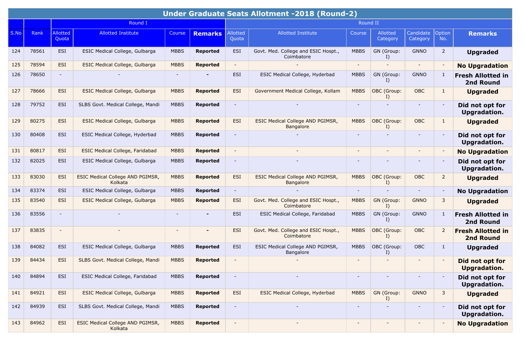|      |       |                          |                                             |             |                 |                          | <b>Under Graduate Seats Allotment -2018 (Round-2)</b> |                          |                          |                          |                          |                                              |
|------|-------|--------------------------|---------------------------------------------|-------------|-----------------|--------------------------|-------------------------------------------------------|--------------------------|--------------------------|--------------------------|--------------------------|----------------------------------------------|
|      |       |                          | Round I                                     |             |                 |                          |                                                       | Round II                 |                          |                          |                          |                                              |
| S.No | Rank  | Allotted<br>Quota        | <b>Allotted Institute</b>                   | Course      | <b>Remarks</b>  | Allotted<br>Quota        | <b>Allotted Institute</b>                             | Course                   | Allotted<br>Category     | Candidate<br>Category    | Option<br>No.            | <b>Remarks</b>                               |
| 124  | 78561 | ESI                      | ESIC Medical College, Gulbarga              | <b>MBBS</b> | <b>Reported</b> | <b>ESI</b>               | Govt. Med. College and ESIC Hospt.,<br>Coimbatore     | <b>MBBS</b>              | GN (Group:<br>I)         | <b>GNNO</b>              | $\overline{2}$           | <b>Upgraded</b>                              |
| 125  | 78594 | <b>ESI</b>               | <b>ESIC Medical College, Gulbarga</b>       | <b>MBBS</b> | <b>Reported</b> | $\overline{\phantom{a}}$ |                                                       | $\overline{\phantom{0}}$ |                          | $\blacksquare$           | $\overline{\phantom{a}}$ | <b>No Upgradation</b>                        |
| 126  | 78650 | $\overline{\phantom{a}}$ |                                             |             |                 | <b>ESI</b>               | ESIC Medical College, Hyderbad                        | <b>MBBS</b>              | GN (Group:<br>I          | <b>GNNO</b>              | 1                        | <b>Fresh Allotted in</b><br>2nd Round        |
| 127  | 78666 | <b>ESI</b>               | <b>ESIC Medical College, Gulbarga</b>       | <b>MBBS</b> | <b>Reported</b> | ESI                      | Government Medical College, Kollam                    | <b>MBBS</b>              | OBC (Group:<br>I)        | OBC                      | 1                        | <b>Upgraded</b>                              |
| 128  | 79752 | <b>ESI</b>               | SLBS Govt. Medical College, Mandi           | <b>MBBS</b> | <b>Reported</b> |                          |                                                       |                          |                          |                          | $\overline{\phantom{a}}$ | Did not opt for<br>Upgradation.              |
| 129  | 80275 | <b>ESI</b>               | <b>ESIC Medical College, Gulbarga</b>       | <b>MBBS</b> | <b>Reported</b> | ESI                      | ESIC Medical College AND PGIMSR,<br><b>Bangalore</b>  | <b>MBBS</b>              | OBC (Group:<br>I)        | OBC                      | $\mathbf{1}$             | <b>Upgraded</b>                              |
| 130  | 80408 | ESI                      | ESIC Medical College, Hyderbad              | <b>MBBS</b> | <b>Reported</b> | $\overline{\phantom{a}}$ |                                                       | $\overline{\phantom{0}}$ |                          |                          | $\overline{\phantom{a}}$ | Did not opt for<br>Upgradation.              |
| 131  | 80817 | ESI                      | <b>ESIC Medical College, Faridabad</b>      | <b>MBBS</b> | <b>Reported</b> | $\overline{\phantom{a}}$ |                                                       | $\overline{\phantom{a}}$ |                          | $\sim$                   |                          | <b>No Upgradation</b>                        |
| 132  | 82025 | ESI                      | ESIC Medical College, Gulbarga              | <b>MBBS</b> | <b>Reported</b> | $\overline{\phantom{a}}$ |                                                       | $\overline{\phantom{0}}$ |                          |                          |                          | Did not opt for<br>Upgradation.              |
| 133  | 83030 | <b>ESI</b>               | ESIC Medical College AND PGIMSR,<br>Kolkata | <b>MBBS</b> | <b>Reported</b> | <b>ESI</b>               | ESIC Medical College AND PGIMSR,<br>Bangalore         | <b>MBBS</b>              | OBC (Group:<br>I)        | OBC                      | $\overline{2}$           | <b>Upgraded</b>                              |
| 134  | 83374 | <b>ESI</b>               | ESIC Medical College, Gulbarga              | <b>MBBS</b> | <b>Reported</b> | $\sim$                   |                                                       | $\blacksquare$           |                          | $\sim$                   | $\overline{\phantom{a}}$ | <b>No Upgradation</b>                        |
| 135  | 83540 | <b>ESI</b>               | <b>ESIC Medical College, Gulbarga</b>       | <b>MBBS</b> | <b>Reported</b> | ESI                      | Govt. Med. College and ESIC Hospt.,<br>Coimbatore     | <b>MBBS</b>              | GN (Group:<br>I)         | <b>GNNO</b>              | 3                        | <b>Upgraded</b>                              |
| 136  | 83556 | $\overline{\phantom{a}}$ |                                             |             |                 | <b>ESI</b>               | ESIC Medical College, Faridabad                       | <b>MBBS</b>              | GN (Group:<br>I)         | <b>GNNO</b>              | 1                        | <b>Fresh Allotted in</b><br>2nd Round        |
| 137  | 83835 | $\overline{\phantom{a}}$ |                                             |             |                 | <b>ESI</b>               | Govt. Med. College and ESIC Hospt.,<br>Coimbatore     | <b>MBBS</b>              | OBC (Group:<br>I)        | OBC                      | $\overline{2}$           | <b>Fresh Allotted in</b><br><b>2nd Round</b> |
| 138  | 84082 | ESI                      | ESIC Medical College, Gulbarga              | <b>MBBS</b> | <b>Reported</b> | <b>ESI</b>               | ESIC Medical College AND PGIMSR,<br>Bangalore         | <b>MBBS</b>              | OBC (Group:<br>I)        | OBC                      | $\mathbf{1}$             | <b>Upgraded</b>                              |
| 139  | 84434 | <b>ESI</b>               | SLBS Govt. Medical College, Mandi           | <b>MBBS</b> | <b>Reported</b> |                          |                                                       |                          |                          |                          |                          | Did not opt for<br><b>Upgradation.</b>       |
| 140  | 84894 | ESI                      | ESIC Medical College, Faridabad             | <b>MBBS</b> | Reported        |                          |                                                       | $\overline{\phantom{a}}$ |                          |                          |                          | Did not opt for<br><b>Upgradation.</b>       |
| 141  | 84921 | <b>ESI</b>               | <b>ESIC Medical College, Gulbarga</b>       | <b>MBBS</b> | <b>Reported</b> | <b>ESI</b>               | ESIC Medical College, Hyderbad                        | <b>MBBS</b>              | GN (Group:<br>I)         | <b>GNNO</b>              | 3                        | <b>Upgraded</b>                              |
| 142  | 84939 | ESI                      | SLBS Govt. Medical College, Mandi           | <b>MBBS</b> | <b>Reported</b> | $\sim$                   |                                                       | $\overline{\phantom{a}}$ | $\overline{\phantom{a}}$ | $\overline{\phantom{a}}$ | $\overline{\phantom{a}}$ | Did not opt for<br>Upgradation.              |
| 143  | 84962 | <b>ESI</b>               | ESIC Medical College AND PGIMSR,<br>Kolkata | <b>MBBS</b> | <b>Reported</b> | $\overline{\phantom{a}}$ |                                                       | -                        |                          |                          | $\overline{\phantom{a}}$ | <b>No Upgradation</b>                        |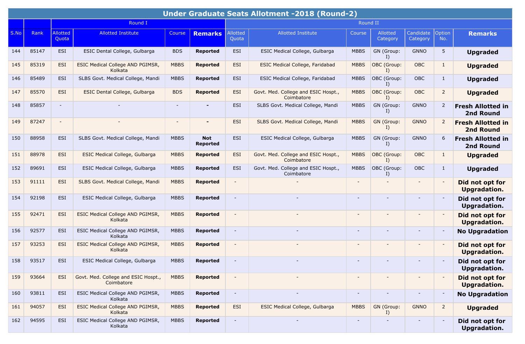|      |       |                          |                                                    |             |                               |                          | Under Graduate Seats Allotment -2018 (Round-2)    |                          |                      |                          |                          |                                              |
|------|-------|--------------------------|----------------------------------------------------|-------------|-------------------------------|--------------------------|---------------------------------------------------|--------------------------|----------------------|--------------------------|--------------------------|----------------------------------------------|
|      |       |                          | Round I                                            |             |                               |                          |                                                   | Round II                 |                      |                          |                          |                                              |
| S.No | Rank  | Allotted<br>Quota        | <b>Allotted Institute</b>                          | Course      | <b>Remarks</b>                | Allotted<br>Quota        | <b>Allotted Institute</b>                         | Course                   | Allotted<br>Category | Candidate<br>Category    | Option<br>No.            | <b>Remarks</b>                               |
| 144  | 85147 | <b>ESI</b>               | ESIC Dental College, Gulbarga                      | <b>BDS</b>  | <b>Reported</b>               | <b>ESI</b>               | ESIC Medical College, Gulbarga                    | <b>MBBS</b>              | GN (Group:<br>I)     | <b>GNNO</b>              | 5                        | <b>Upgraded</b>                              |
| 145  | 85319 | <b>ESI</b>               | ESIC Medical College AND PGIMSR,<br>Kolkata        | <b>MBBS</b> | <b>Reported</b>               | <b>ESI</b>               | <b>ESIC Medical College, Faridabad</b>            | <b>MBBS</b>              | OBC (Group:<br>I)    | <b>OBC</b>               | $\mathbf{1}$             | <b>Upgraded</b>                              |
| 146  | 85489 | ESI                      | SLBS Govt. Medical College, Mandi                  | <b>MBBS</b> | <b>Reported</b>               | ESI                      | ESIC Medical College, Faridabad                   | <b>MBBS</b>              | OBC (Group:<br>I)    | <b>OBC</b>               | $\mathbf{1}$             | <b>Upgraded</b>                              |
| 147  | 85570 | <b>ESI</b>               | ESIC Dental College, Gulbarga                      | <b>BDS</b>  | <b>Reported</b>               | <b>ESI</b>               | Govt. Med. College and ESIC Hospt.,<br>Coimbatore | <b>MBBS</b>              | OBC (Group:<br>I)    | <b>OBC</b>               | $\overline{2}$           | <b>Upgraded</b>                              |
| 148  | 85857 | $\sim$                   |                                                    |             |                               | <b>ESI</b>               | SLBS Govt. Medical College, Mandi                 | <b>MBBS</b>              | GN (Group:<br>I)     | <b>GNNO</b>              | $\overline{2}$           | <b>Fresh Allotted in</b><br><b>2nd Round</b> |
| 149  | 87247 | $\overline{\phantom{a}}$ |                                                    |             |                               | <b>ESI</b>               | SLBS Govt. Medical College, Mandi                 | <b>MBBS</b>              | GN (Group:<br>I)     | <b>GNNO</b>              | 2                        | <b>Fresh Allotted in</b><br><b>2nd Round</b> |
| 150  | 88958 | <b>ESI</b>               | SLBS Govt. Medical College, Mandi                  | <b>MBBS</b> | <b>Not</b><br><b>Reported</b> | <b>ESI</b>               | ESIC Medical College, Gulbarga                    | <b>MBBS</b>              | GN (Group:<br>I)     | <b>GNNO</b>              | 6                        | <b>Fresh Allotted in</b><br><b>2nd Round</b> |
| 151  | 88978 | <b>ESI</b>               | ESIC Medical College, Gulbarga                     | <b>MBBS</b> | <b>Reported</b>               | ESI                      | Govt. Med. College and ESIC Hospt.,<br>Coimbatore | <b>MBBS</b>              | OBC (Group:<br>I)    | <b>OBC</b>               | $\mathbf{1}$             | <b>Upgraded</b>                              |
| 152  | 89691 | ESI                      | ESIC Medical College, Gulbarga                     | <b>MBBS</b> | <b>Reported</b>               | ESI                      | Govt. Med. College and ESIC Hospt.,<br>Coimbatore | <b>MBBS</b>              | OBC (Group:<br>I)    | <b>OBC</b>               | $\mathbf{1}$             | <b>Upgraded</b>                              |
| 153  | 91111 | ESI                      | SLBS Govt. Medical College, Mandi                  | <b>MBBS</b> | <b>Reported</b>               | $\overline{\phantom{a}}$ |                                                   | $\overline{\phantom{0}}$ |                      |                          | $\overline{\phantom{a}}$ | Did not opt for<br>Upgradation.              |
| 154  | 92198 | ESI                      | ESIC Medical College, Gulbarga                     | <b>MBBS</b> | <b>Reported</b>               | $\overline{\phantom{a}}$ |                                                   | $\overline{\phantom{a}}$ |                      |                          |                          | Did not opt for<br><b>Upgradation.</b>       |
| 155  | 92471 | ESI                      | ESIC Medical College AND PGIMSR,<br>Kolkata        | <b>MBBS</b> | <b>Reported</b>               | $\blacksquare$           |                                                   | $\overline{\phantom{0}}$ |                      |                          | $\overline{\phantom{a}}$ | Did not opt for<br>Upgradation.              |
| 156  | 92577 | ESI                      | ESIC Medical College AND PGIMSR,<br>Kolkata        | <b>MBBS</b> | <b>Reported</b>               | $\sim$                   |                                                   | $\overline{\phantom{a}}$ |                      | $\overline{\phantom{a}}$ | $\overline{\phantom{a}}$ | <b>No Upgradation</b>                        |
| 157  | 93253 | ESI                      | ESIC Medical College AND PGIMSR,<br>Kolkata        | <b>MBBS</b> | <b>Reported</b>               | $\overline{\phantom{a}}$ |                                                   | $\overline{\phantom{0}}$ |                      | $\overline{\phantom{a}}$ | $\overline{\phantom{a}}$ | Did not opt for<br>Upgradation.              |
| 158  | 93517 | ESI                      | ESIC Medical College, Gulbarga                     | <b>MBBS</b> | <b>Reported</b>               |                          |                                                   | $\overline{\phantom{a}}$ |                      |                          |                          | Did not opt for<br>Upgradation.              |
| 159  | 93664 | <b>ESI</b>               | Govt. Med. College and ESIC Hospt.,<br>Coimbatore  | <b>MBBS</b> | <b>Reported</b>               |                          |                                                   | -                        |                      |                          |                          | Did not opt for<br><b>Upgradation.</b>       |
| 160  | 93811 | ESI                      | ESIC Medical College AND PGIMSR,<br>Kolkata        | <b>MBBS</b> | <b>Reported</b>               | $\overline{\phantom{a}}$ | $\blacksquare$                                    | $\blacksquare$           |                      | $\blacksquare$           | $\overline{\phantom{a}}$ | <b>No Upgradation</b>                        |
| 161  | 94057 | ESI                      | <b>ESIC Medical College AND PGIMSR,</b><br>Kolkata | <b>MBBS</b> | <b>Reported</b>               | <b>ESI</b>               | <b>ESIC Medical College, Gulbarga</b>             | <b>MBBS</b>              | GN (Group:<br>I)     | <b>GNNO</b>              | $\overline{2}$           | <b>Upgraded</b>                              |
| 162  | 94595 | ESI                      | ESIC Medical College AND PGIMSR,<br>Kolkata        | <b>MBBS</b> | <b>Reported</b>               | $\sim$                   | $\overline{\phantom{a}}$                          | $\overline{\phantom{a}}$ | $\blacksquare$       | $\overline{\phantom{a}}$ | $\overline{\phantom{a}}$ | Did not opt for<br>Upgradation.              |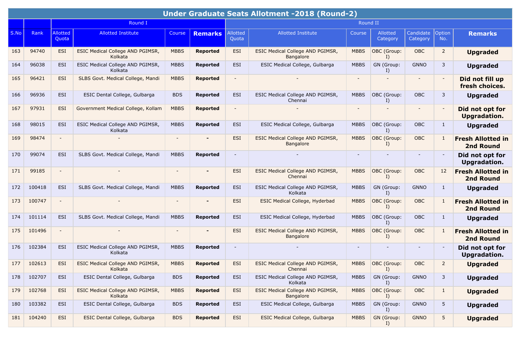|      |        |                          |                                                    |               |                 |                          | <b>Under Graduate Seats Allotment -2018 (Round-2)</b>       |             |                             |                       |                          |                                              |
|------|--------|--------------------------|----------------------------------------------------|---------------|-----------------|--------------------------|-------------------------------------------------------------|-------------|-----------------------------|-----------------------|--------------------------|----------------------------------------------|
|      |        |                          | Round I                                            |               |                 |                          |                                                             | Round II    |                             |                       |                          |                                              |
| S.No | Rank   | Allotted<br>Quota        | <b>Allotted Institute</b>                          | <b>Course</b> | <b>Remarks</b>  | Allotted<br>Quota        | <b>Allotted Institute</b>                                   | Course      | Allotted<br>Category        | Candidate<br>Category | Option<br>No.            | <b>Remarks</b>                               |
| 163  | 94740  | ESI                      | ESIC Medical College AND PGIMSR,<br>Kolkata        | <b>MBBS</b>   | <b>Reported</b> | <b>ESI</b>               | <b>ESIC Medical College AND PGIMSR,</b><br><b>Bangalore</b> | <b>MBBS</b> | OBC (Group:<br>$\mathbf{I}$ | <b>OBC</b>            | $\overline{2}$           | <b>Upgraded</b>                              |
| 164  | 96038  | <b>ESI</b>               | ESIC Medical College AND PGIMSR,<br>Kolkata        | <b>MBBS</b>   | <b>Reported</b> | <b>ESI</b>               | ESIC Medical College, Gulbarga                              | <b>MBBS</b> | GN (Group:<br>I)            | <b>GNNO</b>           | 3                        | <b>Upgraded</b>                              |
| 165  | 96421  | ESI                      | SLBS Govt. Medical College, Mandi                  | <b>MBBS</b>   | <b>Reported</b> |                          |                                                             |             |                             |                       | $\overline{\phantom{a}}$ | Did not fill up<br>fresh choices.            |
| 166  | 96936  | <b>ESI</b>               | ESIC Dental College, Gulbarga                      | <b>BDS</b>    | <b>Reported</b> | <b>ESI</b>               | ESIC Medical College AND PGIMSR,<br>Chennai                 | <b>MBBS</b> | OBC (Group:<br>I)           | OBC                   | 3                        | <b>Upgraded</b>                              |
| 167  | 97931  | <b>ESI</b>               | Government Medical College, Kollam                 | <b>MBBS</b>   | <b>Reported</b> |                          |                                                             |             |                             |                       |                          | Did not opt for<br>Upgradation.              |
| 168  | 98015  | <b>ESI</b>               | ESIC Medical College AND PGIMSR,<br>Kolkata        | <b>MBBS</b>   | <b>Reported</b> | <b>ESI</b>               | ESIC Medical College, Gulbarga                              | <b>MBBS</b> | OBC (Group:<br>$\mathbf{I}$ | <b>OBC</b>            | $\mathbf{1}$             | <b>Upgraded</b>                              |
| 169  | 98474  | $\blacksquare$           |                                                    |               |                 | <b>ESI</b>               | ESIC Medical College AND PGIMSR,<br>Bangalore               | <b>MBBS</b> | OBC (Group:<br>I)           | <b>OBC</b>            | 1                        | <b>Fresh Allotted in</b><br><b>2nd Round</b> |
| 170  | 99074  | ESI                      | SLBS Govt. Medical College, Mandi                  | <b>MBBS</b>   | <b>Reported</b> | $\overline{\phantom{a}}$ |                                                             |             |                             |                       | $\overline{\phantom{a}}$ | Did not opt for<br>Upgradation.              |
| 171  | 99185  | $\overline{\phantom{a}}$ |                                                    |               |                 | <b>ESI</b>               | ESIC Medical College AND PGIMSR,<br>Chennai                 | <b>MBBS</b> | OBC (Group:<br>I)           | <b>OBC</b>            | 12                       | <b>Fresh Allotted in</b><br><b>2nd Round</b> |
| 172  | 100418 | <b>ESI</b>               | SLBS Govt. Medical College, Mandi                  | <b>MBBS</b>   | Reported        | ESI                      | ESIC Medical College AND PGIMSR,<br>Kolkata                 | <b>MBBS</b> | GN (Group:<br>I             | <b>GNNO</b>           | $\mathbf{1}$             | <b>Upgraded</b>                              |
| 173  | 100747 | $\overline{\phantom{a}}$ |                                                    |               |                 | <b>ESI</b>               | ESIC Medical College, Hyderbad                              | <b>MBBS</b> | OBC (Group:<br>I)           | <b>OBC</b>            | $\mathbf{1}$             | <b>Fresh Allotted in</b><br><b>2nd Round</b> |
| 174  | 101114 | ESI                      | SLBS Govt. Medical College, Mandi                  | <b>MBBS</b>   | <b>Reported</b> | ESI                      | ESIC Medical College, Hyderbad                              | <b>MBBS</b> | OBC (Group:<br>$\mathbf{I}$ | OBC                   | $\mathbf{1}$             | <b>Upgraded</b>                              |
| 175  | 101496 | $\overline{\phantom{a}}$ |                                                    |               | ٠               | <b>ESI</b>               | <b>ESIC Medical College AND PGIMSR,</b><br><b>Bangalore</b> | <b>MBBS</b> | OBC (Group:<br>I)           | <b>OBC</b>            | $\mathbf{1}$             | <b>Fresh Allotted in</b><br><b>2nd Round</b> |
| 176  | 102384 | <b>ESI</b>               | ESIC Medical College AND PGIMSR,<br>Kolkata        | <b>MBBS</b>   | <b>Reported</b> |                          |                                                             |             |                             |                       |                          | Did not opt for<br>Upgradation.              |
| 177  | 102613 | <b>ESI</b>               | <b>ESIC Medical College AND PGIMSR,</b><br>Kolkata | <b>MBBS</b>   | <b>Reported</b> | ESI                      | ESIC Medical College AND PGIMSR,<br>Chennai                 | <b>MBBS</b> | OBC (Group:<br>I)           | <b>OBC</b>            | $\overline{2}$           | <b>Upgraded</b>                              |
| 178  | 102707 | ESI                      | ESIC Dental College, Gulbarga                      | <b>BDS</b>    | Reported        | ESI                      | ESIC Medical College AND PGIMSR,<br>Kolkata                 | <b>MBBS</b> | GN (Group:<br>I)            | <b>GNNO</b>           | 3                        | <b>Upgraded</b>                              |
| 179  | 102768 | <b>ESI</b>               | ESIC Medical College AND PGIMSR,<br>Kolkata        | <b>MBBS</b>   | <b>Reported</b> | ESI                      | ESIC Medical College AND PGIMSR,<br>Bangalore               | <b>MBBS</b> | OBC (Group:<br>I)           | OBC                   | $\mathbf{1}$             | <b>Upgraded</b>                              |
| 180  | 103382 | ESI                      | ESIC Dental College, Gulbarga                      | <b>BDS</b>    | Reported        | ESI                      | ESIC Medical College, Gulbarga                              | <b>MBBS</b> | GN (Group:<br>I)            | <b>GNNO</b>           | $5\phantom{.0}$          | <b>Upgraded</b>                              |
| 181  | 104240 | ESI                      | ESIC Dental College, Gulbarga                      | <b>BDS</b>    | <b>Reported</b> | ESI                      | ESIC Medical College, Gulbarga                              | <b>MBBS</b> | GN (Group:<br>I)            | <b>GNNO</b>           | 5                        | <b>Upgraded</b>                              |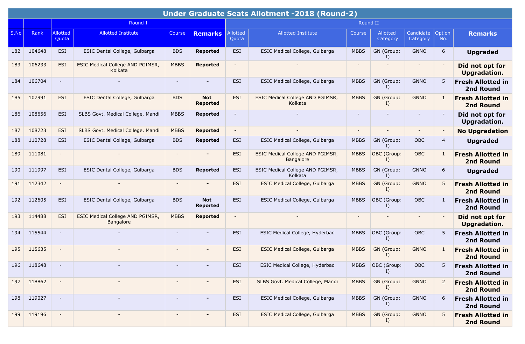|      |        |                          |                                               |                          |                               |                          | <b>Under Graduate Seats Allotment -2018 (Round-2)</b> |                          |                      |                       |                          |                                              |
|------|--------|--------------------------|-----------------------------------------------|--------------------------|-------------------------------|--------------------------|-------------------------------------------------------|--------------------------|----------------------|-----------------------|--------------------------|----------------------------------------------|
|      |        |                          | Round I                                       |                          |                               |                          |                                                       | Round II                 |                      |                       |                          |                                              |
| S.No | Rank   | <b>Allotted</b><br>Quota | <b>Allotted Institute</b>                     | <b>Course</b>            | <b>Remarks</b>                | Allotted<br>Quota        | <b>Allotted Institute</b>                             | Course                   | Allotted<br>Category | Candidate<br>Category | Option<br>No.            | <b>Remarks</b>                               |
| 182  | 104648 | <b>ESI</b>               | ESIC Dental College, Gulbarga                 | <b>BDS</b>               | <b>Reported</b>               | <b>ESI</b>               | ESIC Medical College, Gulbarga                        | <b>MBBS</b>              | GN (Group:<br>I)     | <b>GNNO</b>           | 6                        | <b>Upgraded</b>                              |
| 183  | 106233 | <b>ESI</b>               | ESIC Medical College AND PGIMSR,<br>Kolkata   | <b>MBBS</b>              | <b>Reported</b>               | $\blacksquare$           |                                                       | $\overline{\phantom{a}}$ |                      |                       |                          | Did not opt for<br><b>Upgradation.</b>       |
| 184  | 106704 | $\overline{\phantom{a}}$ |                                               | $\sim$                   | -                             | ESI                      | ESIC Medical College, Gulbarga                        | <b>MBBS</b>              | GN (Group:<br>I)     | <b>GNNO</b>           | 5                        | <b>Fresh Allotted in</b><br>2nd Round        |
| 185  | 107991 | <b>ESI</b>               | ESIC Dental College, Gulbarga                 | <b>BDS</b>               | <b>Not</b><br><b>Reported</b> | <b>ESI</b>               | ESIC Medical College AND PGIMSR,<br>Kolkata           | <b>MBBS</b>              | GN (Group:<br>I)     | <b>GNNO</b>           | 1                        | <b>Fresh Allotted in</b><br><b>2nd Round</b> |
| 186  | 108656 | <b>ESI</b>               | SLBS Govt. Medical College, Mandi             | <b>MBBS</b>              | <b>Reported</b>               | $\blacksquare$           |                                                       | $\blacksquare$           |                      | $\sim$                |                          | Did not opt for<br>Upgradation.              |
| 187  | 108723 | <b>ESI</b>               | SLBS Govt. Medical College, Mandi             | <b>MBBS</b>              | <b>Reported</b>               | $\overline{\phantom{a}}$ |                                                       | $\blacksquare$           |                      | $\sim$                | $\overline{\phantom{a}}$ | <b>No Upgradation</b>                        |
| 188  | 110728 | <b>ESI</b>               | ESIC Dental College, Gulbarga                 | <b>BDS</b>               | <b>Reported</b>               | <b>ESI</b>               | ESIC Medical College, Gulbarga                        | <b>MBBS</b>              | GN (Group:<br>I)     | OBC                   | $\overline{4}$           | <b>Upgraded</b>                              |
| 189  | 111081 | $\overline{\phantom{a}}$ |                                               |                          |                               | <b>ESI</b>               | ESIC Medical College AND PGIMSR,<br>Bangalore         | <b>MBBS</b>              | OBC (Group:<br>I)    | OBC                   | $\mathbf{1}$             | <b>Fresh Allotted in</b><br><b>2nd Round</b> |
| 190  | 111997 | <b>ESI</b>               | ESIC Dental College, Gulbarga                 | <b>BDS</b>               | <b>Reported</b>               | <b>ESI</b>               | ESIC Medical College AND PGIMSR,<br>Kolkata           | <b>MBBS</b>              | GN (Group:<br>I      | <b>GNNO</b>           | 6                        | <b>Upgraded</b>                              |
| 191  | 112342 |                          |                                               |                          |                               | <b>ESI</b>               | ESIC Medical College, Gulbarga                        | <b>MBBS</b>              | GN (Group:<br>I      | <b>GNNO</b>           | 5                        | <b>Fresh Allotted in</b><br><b>2nd Round</b> |
| 192  | 112605 | <b>ESI</b>               | ESIC Dental College, Gulbarga                 | <b>BDS</b>               | <b>Not</b><br><b>Reported</b> | <b>ESI</b>               | ESIC Medical College, Gulbarga                        | <b>MBBS</b>              | OBC (Group:<br>I)    | OBC                   | 1                        | <b>Fresh Allotted in</b><br>2nd Round        |
| 193  | 114488 | <b>ESI</b>               | ESIC Medical College AND PGIMSR,<br>Bangalore | <b>MBBS</b>              | <b>Reported</b>               | $\overline{\phantom{a}}$ |                                                       | $\overline{\phantom{a}}$ |                      |                       |                          | Did not opt for<br>Upgradation.              |
| 194  | 115544 | $\blacksquare$           |                                               |                          |                               | <b>ESI</b>               | ESIC Medical College, Hyderbad                        | <b>MBBS</b>              | OBC (Group:<br>I)    | OBC                   | 5                        | <b>Fresh Allotted in</b><br>2nd Round        |
| 195  | 115635 | $\overline{\phantom{a}}$ |                                               |                          | $\overline{\phantom{0}}$      | <b>ESI</b>               | ESIC Medical College, Gulbarga                        | <b>MBBS</b>              | GN (Group:<br>I)     | <b>GNNO</b>           | $\mathbf{1}$             | <b>Fresh Allotted in</b><br><b>2nd Round</b> |
| 196  | 118648 | $\overline{\phantom{a}}$ |                                               |                          |                               | <b>ESI</b>               | ESIC Medical College, Hyderbad                        | <b>MBBS</b>              | OBC (Group:<br>I)    | OBC                   |                          | <b>Fresh Allotted in</b><br>2nd Round        |
| 197  | 118862 | $\overline{\phantom{a}}$ |                                               | $\overline{\phantom{a}}$ |                               | ESI                      | SLBS Govt. Medical College, Mandi                     | <b>MBBS</b>              | GN (Group:<br>I)     | <b>GNNO</b>           | 2                        | <b>Fresh Allotted in</b><br>2nd Round        |
| 198  | 119027 |                          |                                               | $\sim$                   |                               | ESI                      | ESIC Medical College, Gulbarga                        | <b>MBBS</b>              | GN (Group:<br>$I$ )  | <b>GNNO</b>           | 6                        | <b>Fresh Allotted in</b><br>2nd Round        |
| 199  | 119196 | $\overline{\phantom{a}}$ |                                               |                          |                               | ESI                      | <b>ESIC Medical College, Gulbarga</b>                 | <b>MBBS</b>              | GN (Group:<br>I)     | <b>GNNO</b>           | 5                        | <b>Fresh Allotted in</b><br>2nd Round        |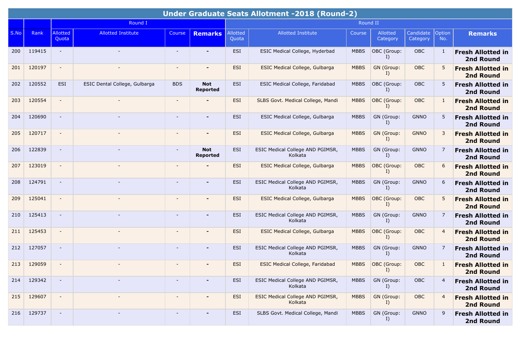|      | Under Graduate Seats Allotment -2018 (Round-2) |                          |                               |                          |                               |                   |                                             |             |                      |                       |                |                                              |  |  |
|------|------------------------------------------------|--------------------------|-------------------------------|--------------------------|-------------------------------|-------------------|---------------------------------------------|-------------|----------------------|-----------------------|----------------|----------------------------------------------|--|--|
|      |                                                |                          | Round I                       |                          |                               |                   |                                             | Round II    |                      |                       |                |                                              |  |  |
| S.No | Rank                                           | <b>Allotted</b><br>Quota | <b>Allotted Institute</b>     | <b>Course</b>            | <b>Remarks</b>                | Allotted<br>Quota | <b>Allotted Institute</b>                   | Course      | Allotted<br>Category | Candidate<br>Category | Option<br>No.  | <b>Remarks</b>                               |  |  |
| 200  | 119415                                         | $\sim$                   |                               |                          |                               | <b>ESI</b>        | ESIC Medical College, Hyderbad              | <b>MBBS</b> | OBC (Group:<br>I)    | OBC                   | 1              | <b>Fresh Allotted in</b><br>2nd Round        |  |  |
| 201  | 120197                                         | $\overline{\phantom{a}}$ |                               | $\overline{\phantom{a}}$ | -                             | <b>ESI</b>        | ESIC Medical College, Gulbarga              | <b>MBBS</b> | GN (Group:<br>I)     | OBC                   | 5              | <b>Fresh Allotted in</b><br><b>2nd Round</b> |  |  |
| 202  | 120552                                         | <b>ESI</b>               | ESIC Dental College, Gulbarga | <b>BDS</b>               | <b>Not</b><br><b>Reported</b> | <b>ESI</b>        | ESIC Medical College, Faridabad             | <b>MBBS</b> | OBC (Group:<br>I)    | OBC                   | 5              | <b>Fresh Allotted in</b><br>2nd Round        |  |  |
| 203  | 120554                                         | $\overline{\phantom{a}}$ |                               | $\blacksquare$           |                               | <b>ESI</b>        | SLBS Govt. Medical College, Mandi           | <b>MBBS</b> | OBC (Group:<br>I)    | OBC                   | 1              | <b>Fresh Allotted in</b><br><b>2nd Round</b> |  |  |
| 204  | 120690                                         | $\overline{\phantom{a}}$ |                               | $\overline{\phantom{a}}$ | $\blacksquare$                | <b>ESI</b>        | ESIC Medical College, Gulbarga              | <b>MBBS</b> | GN (Group:<br>I)     | <b>GNNO</b>           | 5              | <b>Fresh Allotted in</b><br>2nd Round        |  |  |
| 205  | 120717                                         | $\sim$                   |                               | $\overline{\phantom{a}}$ | $\blacksquare$                | <b>ESI</b>        | ESIC Medical College, Gulbarga              | <b>MBBS</b> | GN (Group:<br>I)     | <b>GNNO</b>           | 3              | <b>Fresh Allotted in</b><br><b>2nd Round</b> |  |  |
| 206  | 122839                                         |                          |                               |                          | <b>Not</b><br><b>Reported</b> | <b>ESI</b>        | ESIC Medical College AND PGIMSR,<br>Kolkata | <b>MBBS</b> | GN (Group:<br>I      | <b>GNNO</b>           | 7              | <b>Fresh Allotted in</b><br>2nd Round        |  |  |
| 207  | 123019                                         | $\overline{\phantom{a}}$ |                               |                          |                               | <b>ESI</b>        | ESIC Medical College, Gulbarga              | <b>MBBS</b> | OBC (Group:<br>I)    | OBC                   | 6              | <b>Fresh Allotted in</b><br><b>2nd Round</b> |  |  |
| 208  | 124791                                         | $\overline{\phantom{a}}$ |                               | $\overline{\phantom{a}}$ | $\blacksquare$                | ESI               | ESIC Medical College AND PGIMSR,<br>Kolkata | <b>MBBS</b> | GN (Group:<br>I)     | <b>GNNO</b>           | 6              | <b>Fresh Allotted in</b><br>2nd Round        |  |  |
| 209  | 125041                                         |                          |                               |                          |                               | <b>ESI</b>        | ESIC Medical College, Gulbarga              | <b>MBBS</b> | OBC (Group:<br>I)    | <b>OBC</b>            | 5              | <b>Fresh Allotted in</b><br><b>2nd Round</b> |  |  |
| 210  | 125413                                         |                          |                               | $\overline{\phantom{a}}$ | -                             | <b>ESI</b>        | ESIC Medical College AND PGIMSR,<br>Kolkata | <b>MBBS</b> | GN (Group:<br>I)     | <b>GNNO</b>           | 7              | <b>Fresh Allotted in</b><br>2nd Round        |  |  |
| 211  | 125453                                         | $\overline{\phantom{a}}$ |                               |                          | $\blacksquare$                | <b>ESI</b>        | ESIC Medical College, Gulbarga              | <b>MBBS</b> | OBC (Group:<br>I)    | OBC                   | $\overline{4}$ | <b>Fresh Allotted in</b><br><b>2nd Round</b> |  |  |
| 212  | 127057                                         | $\overline{\phantom{a}}$ |                               | $\overline{\phantom{a}}$ | -                             | <b>ESI</b>        | ESIC Medical College AND PGIMSR,<br>Kolkata | <b>MBBS</b> | GN (Group:<br>I)     | <b>GNNO</b>           | 7              | <b>Fresh Allotted in</b><br>2nd Round        |  |  |
| 213  | 129059                                         |                          |                               |                          | $\blacksquare$                | <b>ESI</b>        | <b>ESIC Medical College, Faridabad</b>      | <b>MBBS</b> | OBC (Group:<br>I)    | <b>OBC</b>            |                | <b>Fresh Allotted in</b><br><b>2nd Round</b> |  |  |
| 214  | 129342                                         | $\blacksquare$           |                               | $\sim$                   | $\blacksquare$                | <b>ESI</b>        | ESIC Medical College AND PGIMSR,<br>Kolkata | <b>MBBS</b> | GN (Group:<br>I)     | OBC                   | $\overline{4}$ | <b>Fresh Allotted in</b><br>2nd Round        |  |  |
| 215  | 129607                                         | $\blacksquare$           |                               | $\overline{\phantom{a}}$ | $\blacksquare$                | ESI               | ESIC Medical College AND PGIMSR,<br>Kolkata | <b>MBBS</b> | GN (Group:<br>I)     | OBC                   | $\overline{4}$ | <b>Fresh Allotted in</b><br><b>2nd Round</b> |  |  |
| 216  | 129737                                         | $\overline{\phantom{a}}$ |                               | $\overline{\phantom{a}}$ | -                             | ESI               | SLBS Govt. Medical College, Mandi           | <b>MBBS</b> | GN (Group:<br>I)     | <b>GNNO</b>           | 9              | <b>Fresh Allotted in</b><br>2nd Round        |  |  |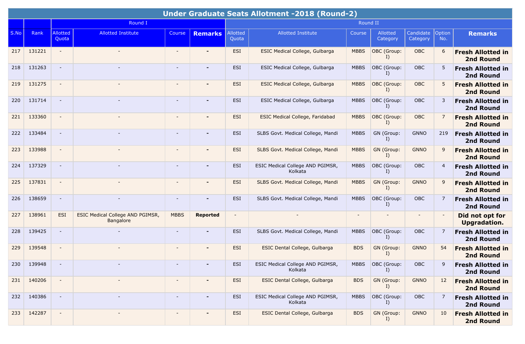|      |        |                          |                                               |                          |                          |                   | Under Graduate Seats Allotment -2018 (Round-2) |             |                      |                       |                |                                              |
|------|--------|--------------------------|-----------------------------------------------|--------------------------|--------------------------|-------------------|------------------------------------------------|-------------|----------------------|-----------------------|----------------|----------------------------------------------|
|      |        |                          | Round I                                       |                          |                          |                   |                                                | Round II    |                      |                       |                |                                              |
| S.No | Rank   | Allotted<br>Quota        | <b>Allotted Institute</b>                     | Course                   | <b>Remarks</b>           | Allotted<br>Quota | <b>Allotted Institute</b>                      | Course      | Allotted<br>Category | Candidate<br>Category | Option<br>No.  | <b>Remarks</b>                               |
| 217  | 131221 | $\sim$                   |                                               |                          |                          | <b>ESI</b>        | ESIC Medical College, Gulbarga                 | <b>MBBS</b> | OBC (Group:<br>I     | OBC                   | 6              | <b>Fresh Allotted in</b><br><b>2nd Round</b> |
| 218  | 131263 | $\sim$                   |                                               |                          | $\blacksquare$           | <b>ESI</b>        | ESIC Medical College, Gulbarga                 | <b>MBBS</b> | OBC (Group:<br>I)    | OBC                   | 5              | <b>Fresh Allotted in</b><br>2nd Round        |
| 219  | 131275 |                          |                                               |                          |                          | <b>ESI</b>        | ESIC Medical College, Gulbarga                 | <b>MBBS</b> | OBC (Group:<br>I)    | <b>OBC</b>            | 5              | <b>Fresh Allotted in</b><br><b>2nd Round</b> |
| 220  | 131714 | $\sim$                   |                                               | $\sim$                   | $\blacksquare$           | <b>ESI</b>        | ESIC Medical College, Gulbarga                 | <b>MBBS</b> | OBC (Group:<br>$I$ ) | <b>OBC</b>            | 3              | <b>Fresh Allotted in</b><br>2nd Round        |
| 221  | 133360 | $\sim$                   |                                               |                          | ٠                        | <b>ESI</b>        | <b>ESIC Medical College, Faridabad</b>         | <b>MBBS</b> | OBC (Group:<br>I)    | OBC                   | 7              | <b>Fresh Allotted in</b><br><b>2nd Round</b> |
| 222  | 133484 | $\overline{\phantom{a}}$ |                                               | $\sim$                   | $\blacksquare$           | <b>ESI</b>        | SLBS Govt. Medical College, Mandi              | <b>MBBS</b> | GN (Group:<br>I)     | <b>GNNO</b>           | 219            | <b>Fresh Allotted in</b><br>2nd Round        |
| 223  | 133988 |                          |                                               |                          |                          | <b>ESI</b>        | SLBS Govt. Medical College, Mandi              | <b>MBBS</b> | GN (Group:<br>I)     | <b>GNNO</b>           | 9              | <b>Fresh Allotted in</b><br><b>2nd Round</b> |
| 224  | 137329 | $\sim$                   |                                               |                          | ٠                        | <b>ESI</b>        | ESIC Medical College AND PGIMSR,<br>Kolkata    | <b>MBBS</b> | OBC (Group:<br>I)    | OBC                   | $\overline{4}$ | <b>Fresh Allotted in</b><br>2nd Round        |
| 225  | 137831 | $\sim$                   |                                               | $\sim$                   | $\overline{\phantom{0}}$ | <b>ESI</b>        | SLBS Govt. Medical College, Mandi              | <b>MBBS</b> | GN (Group:<br>I)     | <b>GNNO</b>           | 9              | <b>Fresh Allotted in</b><br><b>2nd Round</b> |
| 226  | 138659 | $\sim$                   |                                               |                          |                          | <b>ESI</b>        | SLBS Govt. Medical College, Mandi              | <b>MBBS</b> | OBC (Group:<br>I)    | OBC                   | 7              | <b>Fresh Allotted in</b><br>2nd Round        |
| 227  | 138961 | ESI                      | ESIC Medical College AND PGIMSR,<br>Bangalore | <b>MBBS</b>              | <b>Reported</b>          |                   |                                                |             |                      |                       |                | Did not opt for<br><b>Upgradation.</b>       |
| 228  | 139425 | $\sim$                   |                                               |                          | $\overline{\phantom{0}}$ | ESI               | SLBS Govt. Medical College, Mandi              | <b>MBBS</b> | OBC (Group:<br>I)    | OBC                   | 7              | <b>Fresh Allotted in</b><br>2nd Round        |
| 229  | 139548 | $\overline{\phantom{a}}$ |                                               |                          | $\overline{\phantom{0}}$ | <b>ESI</b>        | ESIC Dental College, Gulbarga                  | <b>BDS</b>  | GN (Group:<br>I)     | <b>GNNO</b>           | 54             | <b>Fresh Allotted in</b><br><b>2nd Round</b> |
| 230  | 139948 |                          |                                               |                          |                          | <b>ESI</b>        | ESIC Medical College AND PGIMSR,<br>Kolkata    | <b>MBBS</b> | OBC (Group:<br>I)    | OBC                   | 9              | <b>Fresh Allotted in</b><br>2nd Round        |
| 231  | 140206 | $\overline{\phantom{a}}$ |                                               | $\overline{\phantom{a}}$ |                          | ESI               | ESIC Dental College, Gulbarga                  | <b>BDS</b>  | GN (Group:<br>I)     | <b>GNNO</b>           | 12             | <b>Fresh Allotted in</b><br>2nd Round        |
| 232  | 140386 | $\sim$                   |                                               | $\overline{\phantom{a}}$ | $\blacksquare$           | ESI               | ESIC Medical College AND PGIMSR,<br>Kolkata    | <b>MBBS</b> | OBC (Group:<br>I)    | OBC                   | 7              | <b>Fresh Allotted in</b><br>2nd Round        |
| 233  | 142287 | $\blacksquare$           |                                               | $\overline{\phantom{a}}$ |                          | ESI               | ESIC Dental College, Gulbarga                  | <b>BDS</b>  | GN (Group:<br>I)     | <b>GNNO</b>           | 10             | <b>Fresh Allotted in</b><br><b>2nd Round</b> |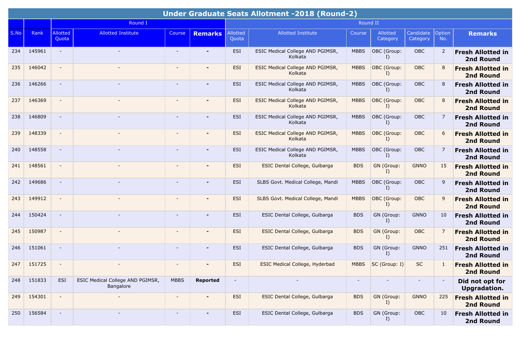|      |        |                          |                                               |                          |                          |                   | Under Graduate Seats Allotment -2018 (Round-2) |                |                      |                       |                |                                              |
|------|--------|--------------------------|-----------------------------------------------|--------------------------|--------------------------|-------------------|------------------------------------------------|----------------|----------------------|-----------------------|----------------|----------------------------------------------|
|      |        |                          | Round I                                       |                          |                          |                   |                                                | Round II       |                      |                       |                |                                              |
| S.No | Rank   | Allotted<br>Quota        | <b>Allotted Institute</b>                     | Course                   | <b>Remarks</b>           | Allotted<br>Quota | <b>Allotted Institute</b>                      | Course         | Allotted<br>Category | Candidate<br>Category | Option<br>No.  | <b>Remarks</b>                               |
| 234  | 145961 | $\sim$                   |                                               |                          |                          | ESI               | ESIC Medical College AND PGIMSR,<br>Kolkata    | <b>MBBS</b>    | OBC (Group:<br>I)    | OBC                   | $\overline{2}$ | <b>Fresh Allotted in</b><br>2nd Round        |
| 235  | 146042 | $\sim$                   |                                               |                          | $\overline{\phantom{0}}$ | <b>ESI</b>        | ESIC Medical College AND PGIMSR,<br>Kolkata    | <b>MBBS</b>    | OBC (Group:<br>I)    | OBC                   | 8              | <b>Fresh Allotted in</b><br><b>2nd Round</b> |
| 236  | 146266 |                          |                                               |                          |                          | <b>ESI</b>        | ESIC Medical College AND PGIMSR,<br>Kolkata    | <b>MBBS</b>    | OBC (Group:<br>I)    | <b>OBC</b>            | 8              | <b>Fresh Allotted in</b><br>2nd Round        |
| 237  | 146369 | $\overline{\phantom{a}}$ |                                               |                          | $\overline{\phantom{0}}$ | <b>ESI</b>        | ESIC Medical College AND PGIMSR,<br>Kolkata    | <b>MBBS</b>    | OBC (Group:<br>$I$ ) | <b>OBC</b>            | 8              | <b>Fresh Allotted in</b><br><b>2nd Round</b> |
| 238  | 146809 | $\sim$                   |                                               |                          | ٠                        | ESI               | ESIC Medical College AND PGIMSR,<br>Kolkata    | <b>MBBS</b>    | OBC (Group:<br>I)    | OBC                   | 7              | <b>Fresh Allotted in</b><br>2nd Round        |
| 239  | 148339 | $\overline{\phantom{a}}$ |                                               | $\sim$                   | $\overline{\phantom{0}}$ | <b>ESI</b>        | ESIC Medical College AND PGIMSR,<br>Kolkata    | <b>MBBS</b>    | OBC (Group:<br>I)    | <b>OBC</b>            | 6              | <b>Fresh Allotted in</b><br><b>2nd Round</b> |
| 240  | 148558 |                          |                                               |                          |                          | <b>ESI</b>        | ESIC Medical College AND PGIMSR,<br>Kolkata    | <b>MBBS</b>    | OBC (Group:<br>$I$ ) | OBC                   | 7              | <b>Fresh Allotted in</b><br>2nd Round        |
| 241  | 148561 | $\sim$                   |                                               |                          | ٠                        | <b>ESI</b>        | ESIC Dental College, Gulbarga                  | <b>BDS</b>     | GN (Group:<br>I)     | <b>GNNO</b>           | 15             | <b>Fresh Allotted in</b><br><b>2nd Round</b> |
| 242  | 149686 | $\sim$                   |                                               | $\sim$                   | $\blacksquare$           | <b>ESI</b>        | SLBS Govt. Medical College, Mandi              | <b>MBBS</b>    | OBC (Group:<br>I)    | OBC                   | 9              | <b>Fresh Allotted in</b><br>2nd Round        |
| 243  | 149912 | $\overline{\phantom{a}}$ |                                               |                          |                          | <b>ESI</b>        | SLBS Govt. Medical College, Mandi              | <b>MBBS</b>    | OBC (Group:<br>I)    | OBC                   | 9              | <b>Fresh Allotted in</b><br><b>2nd Round</b> |
| 244  | 150424 | $\sim$                   |                                               |                          | $\overline{\phantom{0}}$ | ESI               | ESIC Dental College, Gulbarga                  | <b>BDS</b>     | GN (Group:<br>I)     | <b>GNNO</b>           | 10             | <b>Fresh Allotted in</b><br>2nd Round        |
| 245  | 150987 | $\overline{\phantom{a}}$ |                                               |                          | $\overline{\phantom{0}}$ | <b>ESI</b>        | ESIC Dental College, Gulbarga                  | <b>BDS</b>     | GN (Group:<br>I)     | OBC                   | 7              | <b>Fresh Allotted in</b><br><b>2nd Round</b> |
| 246  | 151061 | $\overline{\phantom{a}}$ |                                               | $\sim$                   | $\blacksquare$           | ESI               | ESIC Dental College, Gulbarga                  | <b>BDS</b>     | GN (Group:<br>I)     | <b>GNNO</b>           | 251            | <b>Fresh Allotted in</b><br>2nd Round        |
| 247  | 151725 |                          |                                               |                          |                          | <b>ESI</b>        | ESIC Medical College, Hyderbad                 | <b>MBBS</b>    | SC (Group: I)        | <b>SC</b>             | 1              | <b>Fresh Allotted in</b><br><b>2nd Round</b> |
| 248  | 151833 | ESI                      | ESIC Medical College AND PGIMSR,<br>Bangalore | <b>MBBS</b>              | Reported                 | $\blacksquare$    |                                                | $\blacksquare$ |                      | $\blacksquare$        |                | Did not opt for<br><b>Upgradation.</b>       |
| 249  | 154301 | $\blacksquare$           |                                               | $\overline{\phantom{a}}$ | $\overline{\phantom{0}}$ | ESI               | ESIC Dental College, Gulbarga                  | <b>BDS</b>     | GN (Group:<br>I)     | <b>GNNO</b>           | 225            | <b>Fresh Allotted in</b><br><b>2nd Round</b> |
| 250  | 156584 | $\blacksquare$           |                                               | $\overline{\phantom{a}}$ | $\blacksquare$           | ESI               | ESIC Dental College, Gulbarga                  | <b>BDS</b>     | GN (Group:<br>I)     | OBC                   | 10             | <b>Fresh Allotted in</b><br>2nd Round        |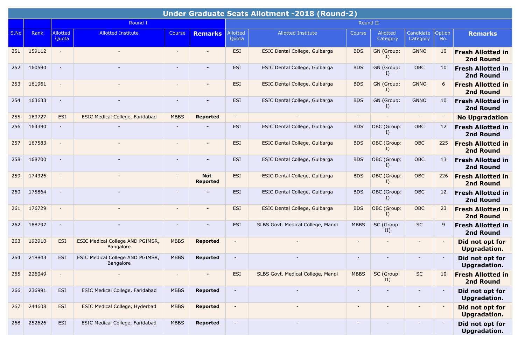|      | <b>Under Graduate Seats Allotment -2018 (Round-2)</b> |                          |                                               |             |                               |                          |                                   |                          |                      |                       |               |                                              |  |  |
|------|-------------------------------------------------------|--------------------------|-----------------------------------------------|-------------|-------------------------------|--------------------------|-----------------------------------|--------------------------|----------------------|-----------------------|---------------|----------------------------------------------|--|--|
|      |                                                       |                          | Round I                                       |             |                               |                          |                                   | Round II                 |                      |                       |               |                                              |  |  |
| S.No | Rank                                                  | <b>Allotted</b><br>Quota | <b>Allotted Institute</b>                     | Course      | <b>Remarks</b>                | Allotted<br>Quota        | <b>Allotted Institute</b>         | Course                   | Allotted<br>Category | Candidate<br>Category | Option<br>No. | <b>Remarks</b>                               |  |  |
| 251  | 159112                                                | $\sim$                   |                                               |             | $\blacksquare$                | <b>ESI</b>               | ESIC Dental College, Gulbarga     | <b>BDS</b>               | GN (Group:<br>I)     | <b>GNNO</b>           | 10            | <b>Fresh Allotted in</b><br><b>2nd Round</b> |  |  |
| 252  | 160590                                                | $\overline{\phantom{a}}$ |                                               | $\sim$      | $\overline{\phantom{0}}$      | <b>ESI</b>               | ESIC Dental College, Gulbarga     | <b>BDS</b>               | GN (Group:<br>I)     | OBC                   | 10            | <b>Fresh Allotted in</b><br>2nd Round        |  |  |
| 253  | 161961                                                | $\overline{\phantom{a}}$ |                                               |             |                               | <b>ESI</b>               | ESIC Dental College, Gulbarga     | <b>BDS</b>               | GN (Group:<br>I)     | <b>GNNO</b>           | 6             | <b>Fresh Allotted in</b><br><b>2nd Round</b> |  |  |
| 254  | 163633                                                | $\overline{\phantom{a}}$ |                                               | $\sim$      |                               | ESI                      | ESIC Dental College, Gulbarga     | <b>BDS</b>               | GN (Group:<br>I)     | <b>GNNO</b>           | 10            | <b>Fresh Allotted in</b><br>2nd Round        |  |  |
| 255  | 163727                                                | <b>ESI</b>               | <b>ESIC Medical College, Faridabad</b>        | <b>MBBS</b> | <b>Reported</b>               | $\overline{\phantom{a}}$ |                                   | $\blacksquare$           |                      | $\sim$                |               | <b>No Upgradation</b>                        |  |  |
| 256  | 164390                                                | $\blacksquare$           |                                               | $\sim$      |                               | <b>ESI</b>               | ESIC Dental College, Gulbarga     | <b>BDS</b>               | OBC (Group:<br>I)    | OBC                   | 12            | <b>Fresh Allotted in</b><br>2nd Round        |  |  |
| 257  | 167583                                                | $\overline{\phantom{a}}$ |                                               |             |                               | <b>ESI</b>               | ESIC Dental College, Gulbarga     | <b>BDS</b>               | OBC (Group:<br>I)    | OBC                   | 225           | <b>Fresh Allotted in</b><br><b>2nd Round</b> |  |  |
| 258  | 168700                                                | $\sim$                   |                                               |             |                               | <b>ESI</b>               | ESIC Dental College, Gulbarga     | <b>BDS</b>               | OBC (Group:<br>I)    | OBC                   | 13            | <b>Fresh Allotted in</b><br>2nd Round        |  |  |
| 259  | 174326                                                | $\overline{\phantom{a}}$ |                                               |             | <b>Not</b><br><b>Reported</b> | <b>ESI</b>               | ESIC Dental College, Gulbarga     | <b>BDS</b>               | OBC (Group:<br>I     | OBC                   | 226           | <b>Fresh Allotted in</b><br><b>2nd Round</b> |  |  |
| 260  | 175864                                                | $\sim$                   |                                               | $\sim$      |                               | <b>ESI</b>               | ESIC Dental College, Gulbarga     | <b>BDS</b>               | OBC (Group:<br>I)    | <b>OBC</b>            | 12            | <b>Fresh Allotted in</b><br>2nd Round        |  |  |
| 261  | 176729                                                | $\sim$                   |                                               |             |                               | <b>ESI</b>               | ESIC Dental College, Gulbarga     | <b>BDS</b>               | OBC (Group:<br>I)    | <b>OBC</b>            | 23            | <b>Fresh Allotted in</b><br><b>2nd Round</b> |  |  |
| 262  | 188797                                                | $\sim$                   |                                               | $\sim$      |                               | <b>ESI</b>               | SLBS Govt. Medical College, Mandi | <b>MBBS</b>              | SC (Group:<br>II)    | <b>SC</b>             | 9             | <b>Fresh Allotted in</b><br>2nd Round        |  |  |
| 263  | 192910                                                | ESI                      | ESIC Medical College AND PGIMSR,<br>Bangalore | <b>MBBS</b> | <b>Reported</b>               | $\overline{\phantom{a}}$ |                                   | $\overline{\phantom{a}}$ |                      |                       |               | Did not opt for<br><b>Upgradation.</b>       |  |  |
| 264  | 218843                                                | ESI                      | ESIC Medical College AND PGIMSR,<br>Bangalore | <b>MBBS</b> | <b>Reported</b>               | $\overline{\phantom{a}}$ |                                   | $\overline{\phantom{a}}$ |                      |                       |               | Did not opt for<br>Upgradation.              |  |  |
| 265  | 226049                                                | $\overline{\phantom{a}}$ |                                               |             |                               | <b>ESI</b>               | SLBS Govt. Medical College, Mandi | <b>MBBS</b>              | SC (Group:<br>II)    | <b>SC</b>             | 10            | <b>Fresh Allotted in</b><br>2nd Round        |  |  |
| 266  | 236991                                                | ESI                      | ESIC Medical College, Faridabad               | <b>MBBS</b> | Reported                      | $\overline{\phantom{a}}$ |                                   | $\overline{\phantom{a}}$ |                      | $\sim$                |               | Did not opt for<br><b>Upgradation.</b>       |  |  |
| 267  | 244608                                                | ESI                      | <b>ESIC Medical College, Hyderbad</b>         | <b>MBBS</b> | <b>Reported</b>               | $\overline{\phantom{a}}$ |                                   | $\overline{\phantom{a}}$ |                      |                       |               | Did not opt for<br><b>Upgradation.</b>       |  |  |
| 268  | 252626                                                | ESI                      | ESIC Medical College, Faridabad               | <b>MBBS</b> | Reported                      | $\blacksquare$           |                                   | $\overline{\phantom{a}}$ |                      |                       |               | Did not opt for<br><b>Upgradation.</b>       |  |  |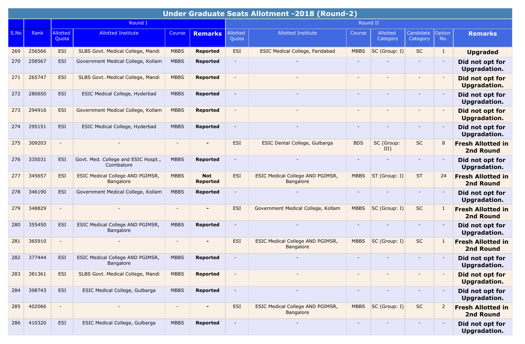|      | Under Graduate Seats Allotment -2018 (Round-2) |                          |                                                   |                |                               |                          |                                                      |                          |                      |                          |                |                                              |  |
|------|------------------------------------------------|--------------------------|---------------------------------------------------|----------------|-------------------------------|--------------------------|------------------------------------------------------|--------------------------|----------------------|--------------------------|----------------|----------------------------------------------|--|
|      |                                                |                          | Round I                                           |                |                               |                          |                                                      | Round II                 |                      |                          |                |                                              |  |
| S.No | Rank                                           | <b>Allotted</b><br>Quota | <b>Allotted Institute</b>                         | Course         | <b>Remarks</b>                | Allotted<br>Quota        | <b>Allotted Institute</b>                            | Course                   | Allotted<br>Category | Candidate<br>Category    | Option<br>No.  | <b>Remarks</b>                               |  |
| 269  | 256566                                         | ESI                      | SLBS Govt. Medical College, Mandi                 | <b>MBBS</b>    | <b>Reported</b>               | <b>ESI</b>               | <b>ESIC Medical College, Faridabad</b>               | <b>MBBS</b>              | SC (Group: I)        | <b>SC</b>                | $\mathbf{1}$   | <b>Upgraded</b>                              |  |
| 270  | 258567                                         | <b>ESI</b>               | Government Medical College, Kollam                | <b>MBBS</b>    | <b>Reported</b>               | $\blacksquare$           |                                                      |                          |                      | $\blacksquare$           |                | Did not opt for<br>Upgradation.              |  |
| 271  | 265747                                         | <b>ESI</b>               | SLBS Govt. Medical College, Mandi                 | <b>MBBS</b>    | <b>Reported</b>               | $\overline{\phantom{a}}$ |                                                      |                          |                      | $\overline{\phantom{a}}$ |                | Did not opt for<br><b>Upgradation.</b>       |  |
| 272  | 280650                                         | ESI                      | ESIC Medical College, Hyderbad                    | <b>MBBS</b>    | <b>Reported</b>               | $\overline{\phantom{a}}$ |                                                      |                          |                      | $\overline{\phantom{a}}$ |                | Did not opt for<br>Upgradation.              |  |
| 273  | 294916                                         | <b>ESI</b>               | Government Medical College, Kollam                | <b>MBBS</b>    | <b>Reported</b>               |                          |                                                      |                          |                      |                          |                | Did not opt for<br><b>Upgradation.</b>       |  |
| 274  | 295151                                         | <b>ESI</b>               | ESIC Medical College, Hyderbad                    | <b>MBBS</b>    | <b>Reported</b>               | $\overline{\phantom{a}}$ |                                                      |                          |                      | $\overline{\phantom{0}}$ |                | Did not opt for<br>Upgradation.              |  |
| 275  | 309203                                         | $\blacksquare$           |                                                   |                |                               | ESI                      | ESIC Dental College, Gulbarga                        | <b>BDS</b>               | SC (Group:<br>III)   | <b>SC</b>                | 8              | <b>Fresh Allotted in</b><br><b>2nd Round</b> |  |
| 276  | 335031                                         | <b>ESI</b>               | Govt. Med. College and ESIC Hospt.,<br>Coimbatore | <b>MBBS</b>    | <b>Reported</b>               |                          |                                                      | $\overline{\phantom{a}}$ |                      |                          |                | Did not opt for<br>Upgradation.              |  |
| 277  | 345657                                         | <b>ESI</b>               | ESIC Medical College AND PGIMSR,<br>Bangalore     | <b>MBBS</b>    | <b>Not</b><br><b>Reported</b> | ESI                      | ESIC Medical College AND PGIMSR,<br><b>Bangalore</b> | <b>MBBS</b>              | ST (Group: I)        | <b>ST</b>                | 24             | <b>Fresh Allotted in</b><br><b>2nd Round</b> |  |
| 278  | 346190                                         | <b>ESI</b>               | Government Medical College, Kollam                | <b>MBBS</b>    | <b>Reported</b>               | $\overline{\phantom{a}}$ |                                                      | $\sim$                   |                      | $\overline{\phantom{a}}$ |                | Did not opt for<br><b>Upgradation.</b>       |  |
| 279  | 348829                                         |                          |                                                   |                |                               | ESI                      | Government Medical College, Kollam                   | <b>MBBS</b>              | SC (Group: I)        | <b>SC</b>                |                | <b>Fresh Allotted in</b><br><b>2nd Round</b> |  |
| 280  | 355450                                         | <b>ESI</b>               | ESIC Medical College AND PGIMSR,<br>Bangalore     | <b>MBBS</b>    | <b>Reported</b>               | $\overline{\phantom{a}}$ |                                                      | $\overline{\phantom{a}}$ |                      | $\overline{\phantom{a}}$ |                | Did not opt for<br><b>Upgradation.</b>       |  |
| 281  | 365910                                         | $\blacksquare$           |                                                   |                |                               | <b>ESI</b>               | ESIC Medical College AND PGIMSR,<br>Bangalore        | <b>MBBS</b>              | SC (Group: I)        | <b>SC</b>                |                | <b>Fresh Allotted in</b><br><b>2nd Round</b> |  |
| 282  | 377444                                         | ESI                      | ESIC Medical College AND PGIMSR,<br>Bangalore     | <b>MBBS</b>    | <b>Reported</b>               | $\overline{\phantom{a}}$ |                                                      |                          |                      |                          |                | Did not opt for<br><b>Upgradation.</b>       |  |
| 283  | 381361                                         | <b>ESI</b>               | SLBS Govt. Medical College, Mandi                 | <b>MBBS</b>    | <b>Reported</b>               |                          |                                                      |                          |                      | $\overline{\phantom{a}}$ |                | Did not opt for<br><b>Upgradation.</b>       |  |
| 284  | 398743                                         | ESI                      | ESIC Medical College, Gulbarga                    | <b>MBBS</b>    | Reported                      | $\blacksquare$           |                                                      |                          |                      | $\blacksquare$           |                | Did not opt for<br>Upgradation.              |  |
| 285  | 402066                                         | $\overline{\phantom{a}}$ | $\overline{\phantom{0}}$                          | $\blacksquare$ | $\blacksquare$                | ESI                      | ESIC Medical College AND PGIMSR,<br>Bangalore        | <b>MBBS</b>              | SC (Group: I)        | SC                       | $\overline{2}$ | <b>Fresh Allotted in</b><br>2nd Round        |  |
| 286  | 410320                                         | ESI                      | ESIC Medical College, Gulbarga                    | <b>MBBS</b>    | Reported                      | $\overline{\phantom{a}}$ |                                                      |                          |                      |                          |                | Did not opt for<br>Upgradation.              |  |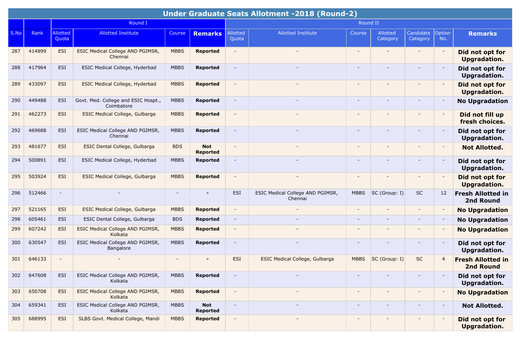|      | Under Graduate Seats Allotment -2018 (Round-2) |                          |                                                   |             |                               |                          |                                             |                          |                          |                       |                          |                                        |  |
|------|------------------------------------------------|--------------------------|---------------------------------------------------|-------------|-------------------------------|--------------------------|---------------------------------------------|--------------------------|--------------------------|-----------------------|--------------------------|----------------------------------------|--|
|      |                                                |                          | Round I                                           |             |                               |                          |                                             | Round II                 |                          |                       |                          |                                        |  |
| S.No | Rank                                           | <b>Allotted</b><br>Quota | <b>Allotted Institute</b>                         | Course      | <b>Remarks</b>                | Allotted<br>Quota        | <b>Allotted Institute</b>                   | Course                   | Allotted<br>Category     | Candidate<br>Category | Option<br>No.            | <b>Remarks</b>                         |  |
| 287  | 414899                                         | <b>ESI</b>               | ESIC Medical College AND PGIMSR,<br>Chennai       | <b>MBBS</b> | <b>Reported</b>               | $\overline{\phantom{a}}$ | $\sim$                                      | $\overline{\phantom{a}}$ | $\overline{\phantom{a}}$ |                       |                          | Did not opt for<br><b>Upgradation.</b> |  |
| 288  | 417964                                         | <b>ESI</b>               | ESIC Medical College, Hyderbad                    | <b>MBBS</b> | <b>Reported</b>               | $\overline{\phantom{a}}$ |                                             | $\overline{\phantom{a}}$ |                          |                       |                          | Did not opt for<br>Upgradation.        |  |
| 289  | 433097                                         | <b>ESI</b>               | <b>ESIC Medical College, Hyderbad</b>             | <b>MBBS</b> | <b>Reported</b>               | $\overline{\phantom{a}}$ |                                             | $\overline{\phantom{a}}$ |                          |                       |                          | Did not opt for<br><b>Upgradation.</b> |  |
| 290  | 449488                                         | <b>ESI</b>               | Govt. Med. College and ESIC Hospt.,<br>Coimbatore | <b>MBBS</b> | <b>Reported</b>               | $\sim$                   |                                             | $\sim$                   |                          | $\sim$                |                          | <b>No Upgradation</b>                  |  |
| 291  | 462273                                         | <b>ESI</b>               | <b>ESIC Medical College, Gulbarga</b>             | <b>MBBS</b> | <b>Reported</b>               | $\sim$                   |                                             |                          |                          |                       | $\overline{\phantom{a}}$ | Did not fill up<br>fresh choices.      |  |
| 292  | 469688                                         | <b>ESI</b>               | ESIC Medical College AND PGIMSR,<br>Chennai       | <b>MBBS</b> | <b>Reported</b>               | $\overline{\phantom{a}}$ |                                             | $\overline{\phantom{a}}$ |                          |                       |                          | Did not opt for<br>Upgradation.        |  |
| 293  | 481677                                         | <b>ESI</b>               | ESIC Dental College, Gulbarga                     | <b>BDS</b>  | <b>Not</b><br><b>Reported</b> | $\overline{a}$           |                                             | $\overline{\phantom{a}}$ |                          |                       | $\overline{\phantom{a}}$ | <b>Not Allotted.</b>                   |  |
| 294  | 500891                                         | <b>ESI</b>               | ESIC Medical College, Hyderbad                    | <b>MBBS</b> | <b>Reported</b>               | $\overline{\phantom{a}}$ |                                             | $\overline{\phantom{a}}$ |                          |                       |                          | Did not opt for<br><b>Upgradation.</b> |  |
| 295  | 503924                                         | <b>ESI</b>               | <b>ESIC Medical College, Gulbarga</b>             | <b>MBBS</b> | <b>Reported</b>               | $\blacksquare$           |                                             | $\overline{\phantom{a}}$ |                          |                       |                          | Did not opt for<br><b>Upgradation.</b> |  |
| 296  | 512466                                         | $\overline{\phantom{a}}$ |                                                   |             |                               | ESI                      | ESIC Medical College AND PGIMSR,<br>Chennai | <b>MBBS</b>              | SC (Group: I)            | <b>SC</b>             | 12                       | <b>Fresh Allotted in</b><br>2nd Round  |  |
| 297  | 521165                                         | <b>ESI</b>               | <b>ESIC Medical College, Gulbarga</b>             | <b>MBBS</b> | <b>Reported</b>               | $\overline{\phantom{a}}$ |                                             |                          |                          | $\blacksquare$        | $\overline{\phantom{a}}$ | <b>No Upgradation</b>                  |  |
| 298  | 605461                                         | <b>ESI</b>               | ESIC Dental College, Gulbarga                     | <b>BDS</b>  | <b>Reported</b>               | $\blacksquare$           |                                             | $\overline{\phantom{a}}$ |                          |                       |                          | <b>No Upgradation</b>                  |  |
| 299  | 607242                                         | <b>ESI</b>               | ESIC Medical College AND PGIMSR,<br>Kolkata       | <b>MBBS</b> | <b>Reported</b>               | $\overline{\phantom{a}}$ |                                             |                          |                          |                       |                          | <b>No Upgradation</b>                  |  |
| 300  | 630547                                         | <b>ESI</b>               | ESIC Medical College AND PGIMSR,<br>Bangalore     | <b>MBBS</b> | <b>Reported</b>               | $\blacksquare$           | Ξ.                                          | $\overline{\phantom{a}}$ |                          |                       | $\overline{\phantom{a}}$ | Did not opt for<br>Upgradation.        |  |
| 301  | 646133                                         | $\blacksquare$           |                                                   |             |                               | <b>ESI</b>               | <b>ESIC Medical College, Gulbarga</b>       | <b>MBBS</b>              | SC (Group: I)            | <b>SC</b>             | $\overline{4}$           | <b>Fresh Allotted in</b><br>2nd Round  |  |
| 302  | 647608                                         | ESI                      | ESIC Medical College AND PGIMSR,<br>Kolkata       | <b>MBBS</b> | <b>Reported</b>               | $\overline{\phantom{a}}$ |                                             | $\overline{\phantom{a}}$ |                          |                       |                          | Did not opt for<br><b>Upgradation.</b> |  |
| 303  | 650708                                         | ESI                      | ESIC Medical College AND PGIMSR,<br>Kolkata       | <b>MBBS</b> | <b>Reported</b>               | $\overline{\phantom{a}}$ |                                             |                          |                          |                       |                          | <b>No Upgradation</b>                  |  |
| 304  | 659341                                         | ESI                      | ESIC Medical College AND PGIMSR,<br>Kolkata       | <b>MBBS</b> | <b>Not</b><br>Reported        | $\overline{\phantom{a}}$ |                                             | $\overline{\phantom{a}}$ |                          | $\sim$                |                          | <b>Not Allotted.</b>                   |  |
| 305  | 688995                                         | ESI                      | SLBS Govt. Medical College, Mandi                 | <b>MBBS</b> | <b>Reported</b>               | $\overline{\phantom{a}}$ |                                             |                          |                          |                       |                          | Did not opt for<br><b>Upgradation.</b> |  |